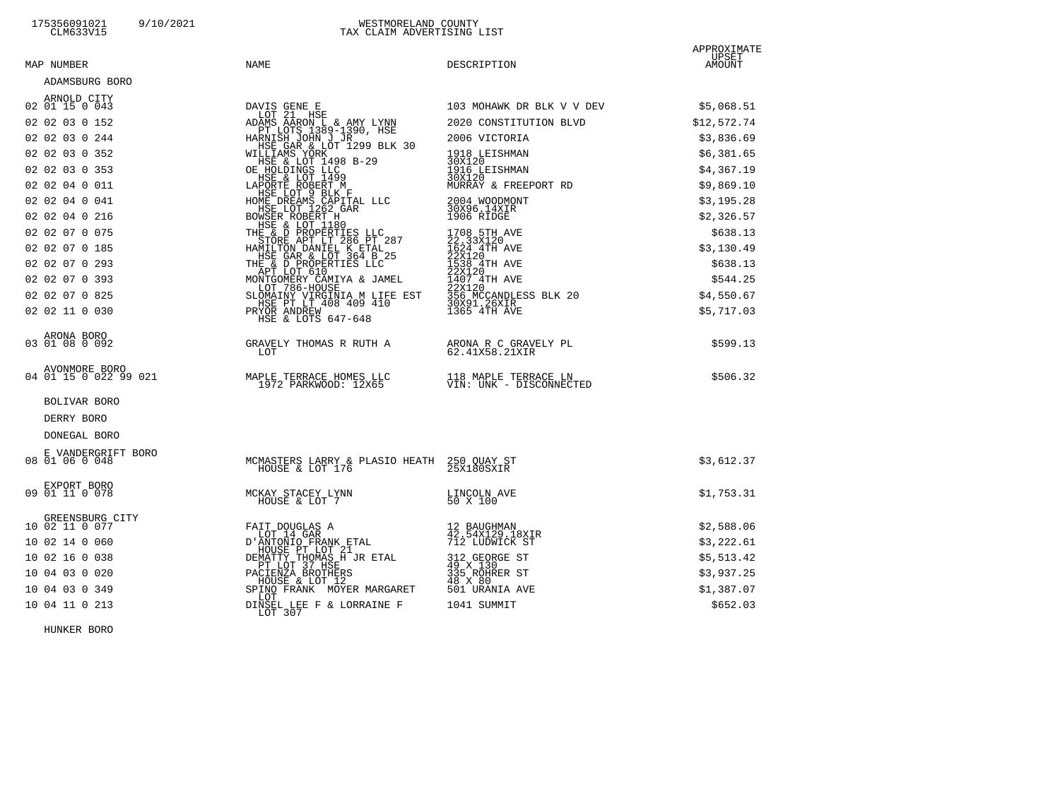# 175356091021 9/10/2021 WESTMORELAND COUNTY CLM633V15 TAX CLAIM ADVERTISING LIST

| MAP NUMBER                    | NAME                                                                                                                                                                                                                                                                       | DESCRIPTION                                                                                                                                                             | APPROXIMATE<br>UPSET<br>AMOUNT |
|-------------------------------|----------------------------------------------------------------------------------------------------------------------------------------------------------------------------------------------------------------------------------------------------------------------------|-------------------------------------------------------------------------------------------------------------------------------------------------------------------------|--------------------------------|
| ADAMSBURG BORO                |                                                                                                                                                                                                                                                                            |                                                                                                                                                                         |                                |
| ARNOLD CITY<br>02 01 15 0 043 |                                                                                                                                                                                                                                                                            | 103 MOHAWK DR BLK V V DEV                                                                                                                                               | \$5,068.51                     |
| 02 02 03 0 152                |                                                                                                                                                                                                                                                                            | 2020 CONSTITUTION BLVD                                                                                                                                                  | \$12,572.74                    |
| 02 02 03 0 244                |                                                                                                                                                                                                                                                                            | 2006 VICTORIA                                                                                                                                                           | \$3,836.69                     |
| 02 02 03 0 352                |                                                                                                                                                                                                                                                                            | 1918 LEISHMAN<br>30X120                                                                                                                                                 | \$6,381.65                     |
| 02 02 03 0 353                |                                                                                                                                                                                                                                                                            | 1916 LEISHMAN<br>30X120                                                                                                                                                 | \$4,367.19                     |
| 02 02 04 0 011                |                                                                                                                                                                                                                                                                            | MURRAY & FREEPORT RD                                                                                                                                                    | \$9,869.10                     |
| 02 02 04 0 041                |                                                                                                                                                                                                                                                                            | 2004 WOODMONT<br>30X96.14XIR<br>1906 RIDGE                                                                                                                              | \$3,195.28                     |
| 02 02 04 0 216                |                                                                                                                                                                                                                                                                            |                                                                                                                                                                         | \$2,326.57                     |
| 02 02 07 0 075                |                                                                                                                                                                                                                                                                            |                                                                                                                                                                         | \$638.13                       |
| 02 02 07 0 185                |                                                                                                                                                                                                                                                                            |                                                                                                                                                                         | \$3,130.49                     |
| 02 02 07 0 293                |                                                                                                                                                                                                                                                                            |                                                                                                                                                                         | \$638.13                       |
| 02 02 07 0 393                |                                                                                                                                                                                                                                                                            |                                                                                                                                                                         | \$544.25                       |
| 02 02 07 0 825                |                                                                                                                                                                                                                                                                            |                                                                                                                                                                         | \$4,550.67                     |
| 02 02 11 0 030                | DAVIS GENE E<br>ADAMS AARON L & AMY LYNN<br>PT LOTS 1389-1390, HSE<br>HARNISH JOHN J JR<br>HEGRA & LOT 1299 BLK 30<br>HILLIAMS YORK<br>HSE & LOT 1498 B-29<br>OE HOLDINGS LLC<br>HSE & LOT 1499<br>LAPORTE ROBERT M<br>LEBE & LOT 9 BLK<br>HSE LOT 9<br>HSE & LOTS 647-648 | 1708 5TH AVE<br>22.33X120<br>1624 4TH AVE<br>22X120<br>22X120<br>1538 4TH AVE<br>22X120<br>1407 4TH AVE<br>22X120<br>35 MCCANDLESS BLK 20<br>30X91.26XIR<br>30X91.26XIR | \$5,717.03                     |
| ARONA BORO<br>03 01 08 0 092  | GRAVELY THOMAS R RUTH A<br>LOT                                                                                                                                                                                                                                             | ARONA R C GRAVELY PL<br>62.41X58.21XIR                                                                                                                                  | \$599.13                       |
|                               | AVONMORE BORO<br>04 01 15 0 022 99 021 MAPLE TERRACE HOMES LLC<br>1972 PARKWOOD: 12X65<br>1973 VIN: UNK - DISCONNECTED                                                                                                                                                     |                                                                                                                                                                         | \$506.32                       |
| BOLIVAR BORO                  |                                                                                                                                                                                                                                                                            |                                                                                                                                                                         |                                |
| DERRY BORO                    |                                                                                                                                                                                                                                                                            |                                                                                                                                                                         |                                |
| DONEGAL BORO                  |                                                                                                                                                                                                                                                                            |                                                                                                                                                                         |                                |
| E VANDERGRIFT BORO            |                                                                                                                                                                                                                                                                            |                                                                                                                                                                         |                                |
| 08 01 06 0 048                | MCMASTERS LARRY & PLASIO HEATH 250 OUAY ST<br>HOUSE & LOT 176 15X180SXIR                                                                                                                                                                                                   |                                                                                                                                                                         | \$3,612.37                     |
| EXPORT BORO<br>09 01 11 0 078 | MCKAY STACEY LYNN<br>HOUSE & LOT 7                                                                                                                                                                                                                                         | LINCOLN AVE<br>50 X 100                                                                                                                                                 | \$1,753.31                     |
| GREENSBURG CITY               |                                                                                                                                                                                                                                                                            |                                                                                                                                                                         |                                |
| 10 02 11 0 077                |                                                                                                                                                                                                                                                                            | 12 BAUGHMAN<br>42.54X129.18XIR<br>712 LUDWICK ST                                                                                                                        | \$2,588.06                     |
| 10 02 14 0 060                |                                                                                                                                                                                                                                                                            |                                                                                                                                                                         | \$3,222.61                     |
| 10 02 16 0 038                | FAIT DOUGLAS A<br>LOT 14 GAR<br>D'ANTONIO FRANK ETAL<br>HOUSE PT LOT 21<br>DEMATTY THOMAS H JR ETAL<br>PET LOT 37 HSE<br>PACIENZA BROTHERS<br>MONISE & LOT 12                                                                                                              | 312 GEORGE ST<br>49 X 130<br>335 ROHRER ST<br>48 X 80<br>501 URANIA AVE                                                                                                 | \$5,513.42                     |
| 10 04 03 0 020                | HOUSE & LOT 12                                                                                                                                                                                                                                                             |                                                                                                                                                                         | \$3,937.25                     |
| 10 04 03 0 349                | SPINO FRANK MOYER MARGARET<br>LOT                                                                                                                                                                                                                                          |                                                                                                                                                                         | \$1,387.07                     |
| 10 04 11 0 213                | DINSEL LEE F & LORRAINE F<br>LOT 307                                                                                                                                                                                                                                       | 1041 SUMMIT                                                                                                                                                             | \$652.03                       |

HUNKER BORO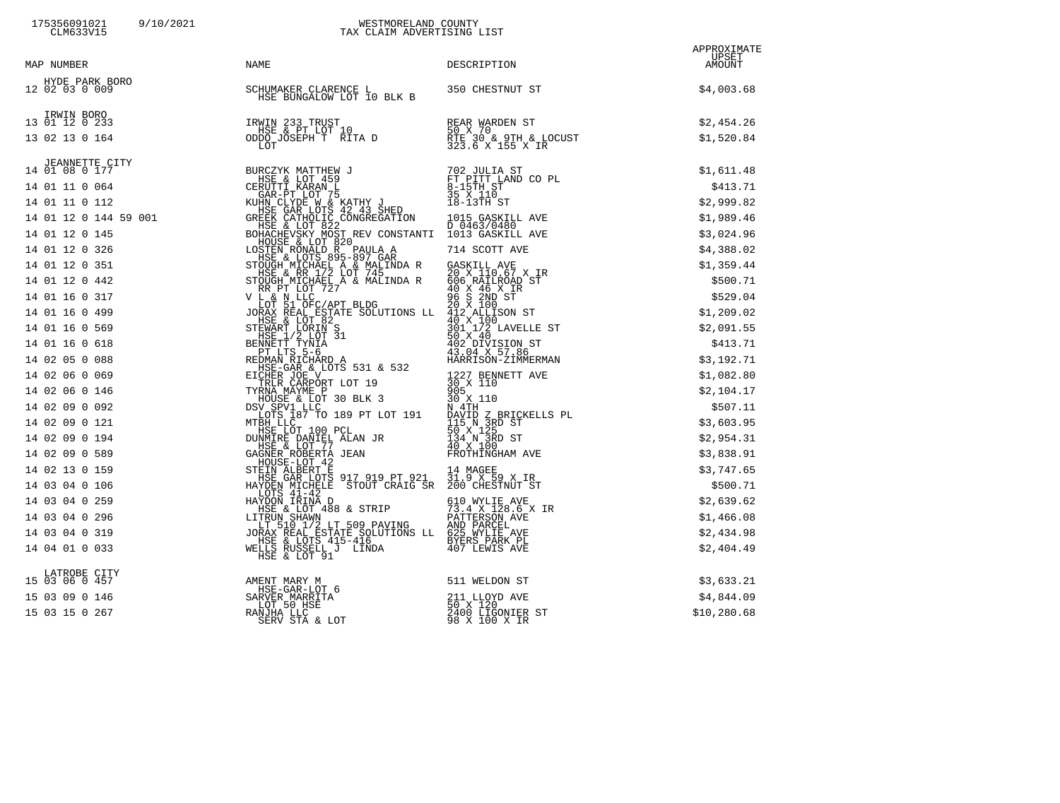### 175356091021 9/10/2021 WESTMORELAND COUNTY CLM633V15 CLM633V15

### TAX CLAIM ADVERTISING LIST

| MAP NUMBER                         | NAME                                                                               | DESCRIPTION                                  | APPROXIMATE<br>UPSET<br>AMOUNT |
|------------------------------------|------------------------------------------------------------------------------------|----------------------------------------------|--------------------------------|
| HYDE PARK BORO<br>12 02 03 0 009   | RO SCHUMAKER CLARENCE L<br>HSE BUNGALOW LOT 10 BLK B 350 CHESTNUT ST               |                                              | \$4,003.68                     |
| IRWIN BORO<br>13 01 12 0 233       |                                                                                    |                                              | \$2,454.26                     |
| 13 02 13 0 164                     | IRWIN 233 TRUST<br>HSE & PT LOT 10<br>ODDO JOSEPH T RITA D<br>LOT 323.6 X 155 X IR |                                              | \$1,520.84                     |
|                                    |                                                                                    |                                              |                                |
|                                    |                                                                                    |                                              |                                |
|                                    |                                                                                    |                                              |                                |
|                                    |                                                                                    |                                              |                                |
|                                    |                                                                                    |                                              |                                |
|                                    |                                                                                    |                                              |                                |
|                                    |                                                                                    |                                              |                                |
|                                    |                                                                                    |                                              |                                |
|                                    |                                                                                    |                                              |                                |
|                                    |                                                                                    |                                              |                                |
|                                    |                                                                                    |                                              |                                |
|                                    |                                                                                    |                                              |                                |
|                                    |                                                                                    |                                              |                                |
|                                    |                                                                                    |                                              |                                |
|                                    |                                                                                    |                                              |                                |
|                                    |                                                                                    |                                              |                                |
|                                    |                                                                                    |                                              |                                |
|                                    |                                                                                    |                                              |                                |
|                                    |                                                                                    |                                              |                                |
|                                    |                                                                                    |                                              |                                |
|                                    |                                                                                    |                                              |                                |
|                                    |                                                                                    |                                              |                                |
|                                    |                                                                                    |                                              |                                |
|                                    |                                                                                    |                                              |                                |
|                                    |                                                                                    |                                              |                                |
| LATROBE CITY<br>15  03  06  0  457 | AMENT MARY M                                                                       |                                              | \$3,633.21                     |
| 15 03 09 0 146                     | HSE-GAR-LOT 6<br>SARVER MARRITA<br>T.OT 50 HSF                                     | 511 WELDON ST<br>$211$ LLOYD AVE<br>50 x 120 | \$4,844.09                     |

|                | HOUSE-LOT 42                                                                  |                                                  |              |
|----------------|-------------------------------------------------------------------------------|--------------------------------------------------|--------------|
| 14 02 13 0 159 | STEIN ALBERT E                                                                | 14 MAGEE                                         | \$3,747.65   |
| 14 03 04 0 106 | HSE GAR LOTS 917 919 PT 921<br>STOUT CRAIG SR<br>HAYDEN MICHELE<br>LOTS 41-42 | 31.9 X 59 X IR<br>200 CHESTNUT ST                | \$500.71     |
| 14 03 04 0 259 | HAYDON IRINA D                                                                | 610 WYLIE AVE                                    | \$2,639.62   |
| 14 03 04 0 296 | HSE & LOT 488 & STRIP<br>LITRUN SHAWN<br>LT 510 1/2 LT 509 PAVING             | 73.4 X 128.6 X IR<br>PATTERSON AVE<br>AND PARCEL | \$1,466.08   |
| 14 03 04 0 319 | JORAX REAL ESTATE SOLUTIONS LL                                                | 625 WYLIE AVE                                    | \$2,434.98   |
| 14 04 01 0 033 | HSE & LOTS 415-416<br>WELLS RUSSELL J LINDA<br>HSE & LOT 91                   | BYERS PARK PL<br>407 LEWIS AVE                   | \$2,404.49   |
| LATROBE CITY   |                                                                               |                                                  |              |
| 15 03 06 0 457 | AMENT MARY M                                                                  | 511 WELDON ST                                    | \$3,633.21   |
| 15 03 09 0 146 | HSE-GAR-LOT 6<br>SARVER MARRITA<br>LOT 50 HSE                                 | 211 LLOYD AVE<br>50 X 120                        | \$4,844.09   |
| 15 03 15 0 267 | RANJHA LLC<br>SERV STA & LOT                                                  | 2400 LIGONIER ST<br>98 X 100 X IR                | \$10, 280.68 |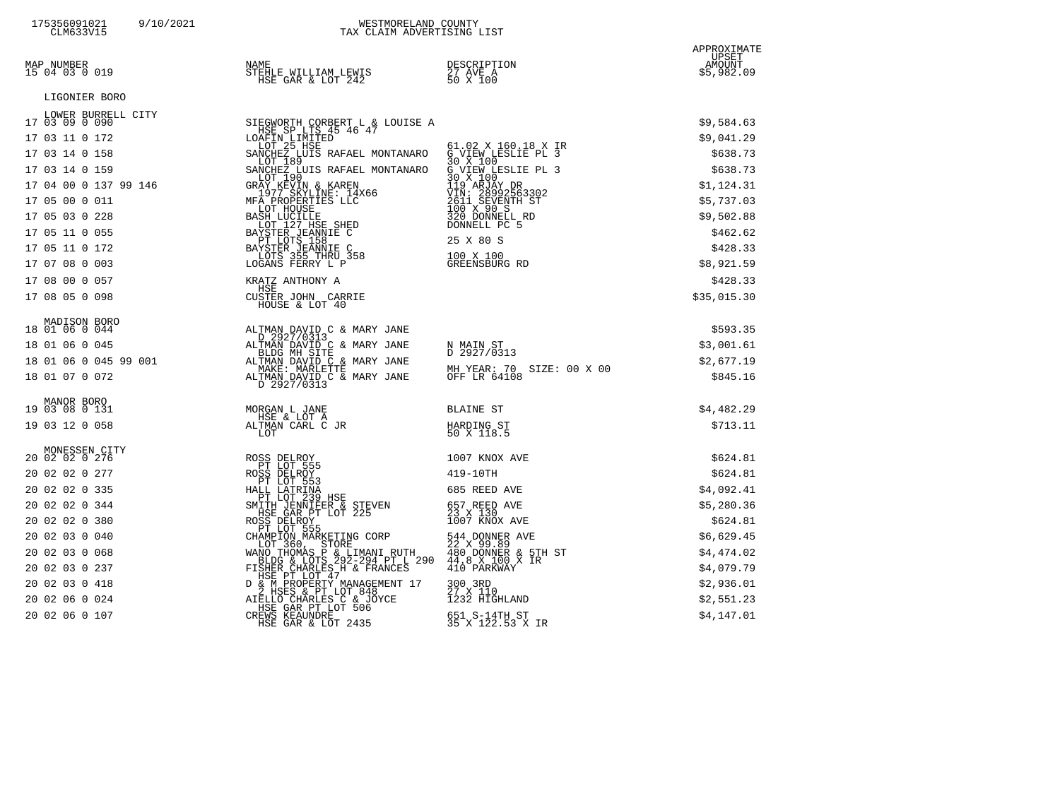| 175356091021<br>9/10/2021<br>CLM633V15 | WESTMORELAND COUNTY<br>TAX CLAIM ADVERTISING LIST                                                                                                                    |                                                                                                                                           |                                              |
|----------------------------------------|----------------------------------------------------------------------------------------------------------------------------------------------------------------------|-------------------------------------------------------------------------------------------------------------------------------------------|----------------------------------------------|
| MAP NUMBER<br>15 04 03 0 019           | NAME<br>STEHLE WILLIAM LEWIS<br>HSE GAR & LOT 242                                                                                                                    | DESCRIPTION<br>27 AVE A<br>50 X 100                                                                                                       | APPROXIMATE<br>UPSET<br>AMOUNT<br>\$5,982.09 |
| LIGONIER BORO                          |                                                                                                                                                                      |                                                                                                                                           |                                              |
| LOWER BURRELL CITY<br>17 03 09 0 090   |                                                                                                                                                                      |                                                                                                                                           |                                              |
| 17 03 11 0 172                         | SIEGWORTH CORBERT L & LOUISE A<br>HSE SP LTS 45 46 47                                                                                                                |                                                                                                                                           | \$9,584.63<br>\$9,041.29                     |
| 17 03 14 0 158                         | LOAFIN LIMITED<br>LOT 25 HSE<br>SANCHEZ LUIS RAFAEL MONTANARO<br>CALOT 189<br>CALOT 189                                                                              | 61.02 X 160.18 X IR<br>G VIEW LESLIE PL 3<br>30 X 100 --------                                                                            | \$638.73                                     |
| 17 03 14 0 159                         | SANCHEZ LUIS RAFAEL MONTANARO                                                                                                                                        |                                                                                                                                           | \$638.73                                     |
| 17 04 00 0 137 99 146                  | GRAY KEVIN & KAREN                                                                                                                                                   |                                                                                                                                           | \$1,124.31                                   |
| 17 05 00 0 011                         | 1977 SKYLINE: 14X66<br>MFA PROPERTIES LLC                                                                                                                            |                                                                                                                                           | \$5,737.03                                   |
| 17 05 03 0 228                         | LOT HOUSE                                                                                                                                                            | 30 X 100<br>30 X 100<br>30 X 100<br>119 ARJAY DR<br>VIN: 28992563302<br>2611 SEVENTH ST<br>100 X 90 S<br>320 DONNELL RD<br>30 NORTH LE RD | \$9,502.88                                   |
| 17 05 11 0 055                         | <b>BASH LUCILLE<br/> LOT 127 HSE SHED<br/> BAYSTER JEANNIE C<br/> BAYSTER JEANNIE C<br/> BAYSTER JEANNIE C<br/> ACONS 355 THRU 358<br/> TAONS 3550 V L</b>           | DONNELL PC 5                                                                                                                              | \$462.62                                     |
| 17 05 11 0 172                         |                                                                                                                                                                      | 25 X 80 S                                                                                                                                 | \$428.33                                     |
| 17 07 08 0 003                         | LOGANS FERRY L P                                                                                                                                                     | 100 X 100<br>GREENSBURG RD                                                                                                                | \$8,921.59                                   |
| 17 08 00 0 057                         | KRATZ ANTHONY A                                                                                                                                                      |                                                                                                                                           | \$428.33                                     |
| 17 08 05 0 098                         | HSE<br>CUSTER JOHN CARRIE                                                                                                                                            |                                                                                                                                           | \$35,015.30                                  |
|                                        | HOUSE & LOT 40                                                                                                                                                       |                                                                                                                                           |                                              |
| MADISON BORO<br>18 01 06 0 044         |                                                                                                                                                                      |                                                                                                                                           | \$593.35                                     |
| 18 01 06 0 045                         | ALTMAN DAVID C & MARY JANE<br>D 2927/0313<br>ALTMAN DAVID C & MARY JANE<br>BLDG MH SITE<br>ALTMAN DAVID C & MARY JANE                                                | N MAIN ST<br>D 2927/0313                                                                                                                  | \$3,001.61                                   |
| 18 01 06 0 045 99 001                  | MAKE: MARLETTE                                                                                                                                                       | MH YEAR: 70 SIZE: 00 X 00                                                                                                                 | \$2,677.19                                   |
| 18 01 07 0 072                         | ALTMAN DAVID C & MARY JANE<br>D 2927/0313                                                                                                                            | OFF LR 64108                                                                                                                              | \$845.16                                     |
| MANOR BORO<br>19 03 08 0 131           | MORGAN L JANE                                                                                                                                                        | BLAINE ST                                                                                                                                 | \$4,482.29                                   |
| 19 03 12 0 058                         | HSE & LOT A<br>ALTMAN CARL C JR                                                                                                                                      | HARDING ST                                                                                                                                | \$713.11                                     |
|                                        | LOT                                                                                                                                                                  | 50 X 118.5                                                                                                                                |                                              |
| MONESSEN CITY<br>20 02 02 0 276        |                                                                                                                                                                      | 1007 KNOX AVE                                                                                                                             | \$624.81                                     |
| 20 02 02 0 277                         | ROSS DELROY<br>PT LOT 555<br>ROSS DELROY                                                                                                                             | 419-10TH                                                                                                                                  | \$624.81                                     |
| 20 02 02 0 335                         | PT LOT 553                                                                                                                                                           | 685 REED AVE                                                                                                                              | \$4,092.41                                   |
| 20 02 02 0 344                         | HALL LATRINA<br>PT LOT 239 HSE<br>SMITH JENNIFER & STEVEN<br>- HSE GAR PT LOT 225                                                                                    |                                                                                                                                           | \$5,280.36                                   |
| 20 02 02 0 380                         |                                                                                                                                                                      | 657 REED AVE<br>23 X 130<br>1007 KNOX AVE                                                                                                 | \$624.81                                     |
| 20 02 03 0 040                         | ROSS DELROY<br>PT LOT 555<br>CHAMPION MARKETING CORP<br>LOT 360, STORE<br>WANO THOMAS P & LIMANI RUTH<br>BLDG & LOTS 292-294 PT L 290<br>FISHER CHARLES, H & FRANCES | 544 DONNER AVE<br>22 X 99.89                                                                                                              | \$6,629.45                                   |
| 20 02 03 0 068                         |                                                                                                                                                                      | 480^DONNER & 5TH ST<br>44.8 X 100 X IR<br>410 PARKWAY                                                                                     | \$4,474.02                                   |
| 20 02 03 0 237                         | HSE PT LOT 47                                                                                                                                                        |                                                                                                                                           | \$4,079.79                                   |
| 20 02 03 0 418                         |                                                                                                                                                                      | 300 3RD<br>27 X 110<br>1232 HIGHLAND                                                                                                      | \$2,936.01                                   |
| 20 02 06 0 024                         | D & M PROPERTY MANAGEMENT 17<br>2 HSES & PT LOT 848<br>AIELLO CHARLES C & JOYCE<br>HSE GAR PT LOT 506<br>CREWS KEAUNDRE                                              |                                                                                                                                           | \$2,551.23                                   |
| 20 02 06 0 107                         | HSE GAR & LOT 2435                                                                                                                                                   | 651 S-14TH ST<br>35 X 122.53 X IR                                                                                                         | \$4,147.01                                   |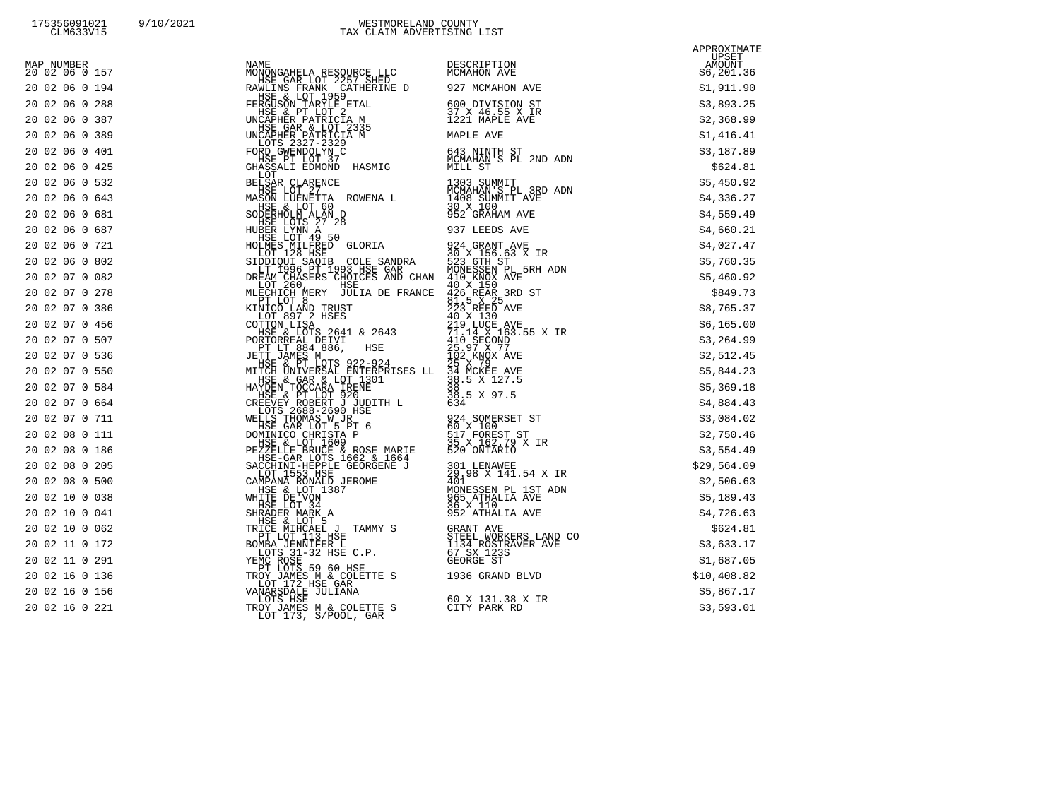| 175356091021     | 9/10. |
|------------------|-------|
| $C$ TME $22171E$ |       |

|                              | $\begin{bmatrix} \frac{1}{2} \frac{1}{2} \frac{1}{2} \frac{1}{2} \frac{1}{2} \frac{1}{2} \frac{1}{2} \frac{1}{2} \frac{1}{2} \frac{1}{2} \frac{1}{2} \frac{1}{2} \frac{1}{2} \frac{1}{2} \frac{1}{2} \frac{1}{2} \frac{1}{2} \frac{1}{2} \frac{1}{2} \frac{1}{2} \frac{1}{2} \frac{1}{2} \frac{1}{2} \frac{1}{2} \frac{1}{2} \frac{1}{2} \frac{1}{2} \frac{1}{2} \frac{1}{2} \frac{1}{2} \frac{1$ | APPROXIMATE                      |
|------------------------------|---------------------------------------------------------------------------------------------------------------------------------------------------------------------------------------------------------------------------------------------------------------------------------------------------------------------------------------------------------------------------------------------------|----------------------------------|
| MAP NUMBER<br>20 02 06 0 157 |                                                                                                                                                                                                                                                                                                                                                                                                   | -- UPSET<br>AMOUNT<br>\$6,201.36 |
| 20 02 06 0 194               |                                                                                                                                                                                                                                                                                                                                                                                                   |                                  |
| 20 02 06 0 288               |                                                                                                                                                                                                                                                                                                                                                                                                   |                                  |
| 20 02 06 0 387               |                                                                                                                                                                                                                                                                                                                                                                                                   |                                  |
| 20 02 06 0 389               |                                                                                                                                                                                                                                                                                                                                                                                                   |                                  |
| 20 02 06 0 401               |                                                                                                                                                                                                                                                                                                                                                                                                   |                                  |
| 20 02 06 0 425               |                                                                                                                                                                                                                                                                                                                                                                                                   |                                  |
| 20 02 06 0 532               |                                                                                                                                                                                                                                                                                                                                                                                                   |                                  |
| 20 02 06 0 643               |                                                                                                                                                                                                                                                                                                                                                                                                   |                                  |
| 20 02 06 0 681               |                                                                                                                                                                                                                                                                                                                                                                                                   |                                  |
| 20 02 06 0 687               |                                                                                                                                                                                                                                                                                                                                                                                                   |                                  |
| 20 02 06 0 721               |                                                                                                                                                                                                                                                                                                                                                                                                   |                                  |
| 20 02 06 0 802               |                                                                                                                                                                                                                                                                                                                                                                                                   |                                  |
| 20 02 07 0 082               |                                                                                                                                                                                                                                                                                                                                                                                                   |                                  |
| 20 02 07 0 278               |                                                                                                                                                                                                                                                                                                                                                                                                   |                                  |
| 20 02 07 0 386               |                                                                                                                                                                                                                                                                                                                                                                                                   |                                  |
| 20 02 07 0 456               |                                                                                                                                                                                                                                                                                                                                                                                                   |                                  |
| 20 02 07 0 507               |                                                                                                                                                                                                                                                                                                                                                                                                   |                                  |
| 20 02 07 0 536               |                                                                                                                                                                                                                                                                                                                                                                                                   |                                  |
| 20 02 07 0 550               |                                                                                                                                                                                                                                                                                                                                                                                                   |                                  |
| 20 02 07 0 584               |                                                                                                                                                                                                                                                                                                                                                                                                   |                                  |
| 20 02 07 0 664               |                                                                                                                                                                                                                                                                                                                                                                                                   |                                  |
| 20 02 07 0 711               |                                                                                                                                                                                                                                                                                                                                                                                                   |                                  |
| 20 02 08 0 111               |                                                                                                                                                                                                                                                                                                                                                                                                   |                                  |
| 20 02 08 0 186               |                                                                                                                                                                                                                                                                                                                                                                                                   |                                  |
| 20 02 08 0 205               |                                                                                                                                                                                                                                                                                                                                                                                                   |                                  |
| 20 02 08 0 500               |                                                                                                                                                                                                                                                                                                                                                                                                   |                                  |
| 20 02 10 0 038               |                                                                                                                                                                                                                                                                                                                                                                                                   |                                  |
| 20 02 10 0 041               |                                                                                                                                                                                                                                                                                                                                                                                                   |                                  |
| 20 02 10 0 062               |                                                                                                                                                                                                                                                                                                                                                                                                   |                                  |
| 20 02 11 0 172               |                                                                                                                                                                                                                                                                                                                                                                                                   |                                  |
| 20 02 11 0 291               |                                                                                                                                                                                                                                                                                                                                                                                                   |                                  |
| 20 02 16 0 136               |                                                                                                                                                                                                                                                                                                                                                                                                   |                                  |
| 20 02 16 0 156               |                                                                                                                                                                                                                                                                                                                                                                                                   |                                  |
| 20 02 16 0 221               |                                                                                                                                                                                                                                                                                                                                                                                                   |                                  |
|                              |                                                                                                                                                                                                                                                                                                                                                                                                   |                                  |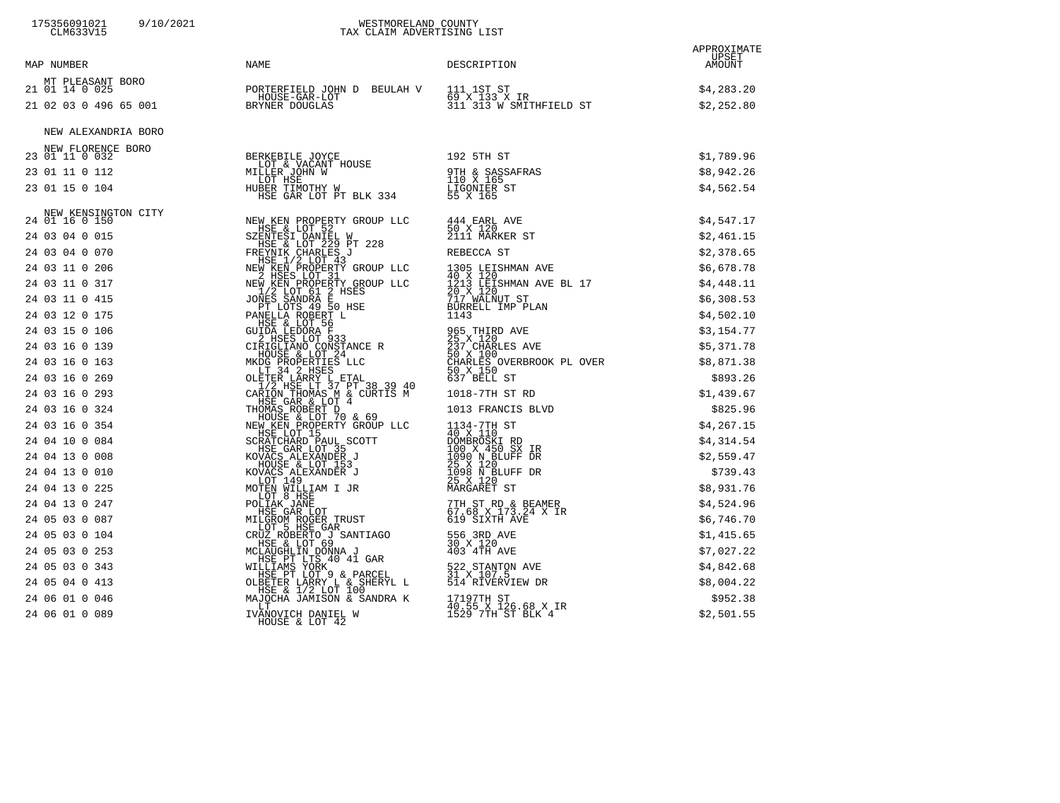# 175356091021 9/10/2021 WESTMORELAND COUNTY CLM633V15 TAX CLAIM ADVERTISING LIST

| MAP NUMBER                          | NAME                                                                                                                                                                                                                            | DESCRIPTION | APPROXIMATE<br>UPSET<br>AMOUNT |
|-------------------------------------|---------------------------------------------------------------------------------------------------------------------------------------------------------------------------------------------------------------------------------|-------------|--------------------------------|
| MT PLEASANT BORO<br>21 01 14 0 025  |                                                                                                                                                                                                                                 |             | \$4,283.20                     |
|                                     | 21 01 14 0 025<br>21 02 03 0 496 65 001<br>21 02 03 0 496 65 001<br>21 02 03 0 496 65 001<br>21 02 03 0 496 65 001<br>21 02 03 0 496 65 001                                                                                     |             | \$2,252.80                     |
| NEW ALEXANDRIA BORO                 |                                                                                                                                                                                                                                 |             |                                |
| NEW FLORENCE BORO<br>23 01 11 0 032 |                                                                                                                                                                                                                                 |             | \$1,789.96                     |
| 23 01 11 0 112                      |                                                                                                                                                                                                                                 |             | \$8,942.26                     |
| 23 01 15 0 104                      |                                                                                                                                                                                                                                 |             | \$4,562.54                     |
|                                     |                                                                                                                                                                                                                                 |             |                                |
| 24 01 16 0 150                      |                                                                                                                                                                                                                                 |             |                                |
| 24 03 04 0 015                      |                                                                                                                                                                                                                                 |             |                                |
| 24 03 04 0 070                      |                                                                                                                                                                                                                                 |             |                                |
| 24 03 11 0 206                      |                                                                                                                                                                                                                                 |             |                                |
| 24 03 11 0 317                      |                                                                                                                                                                                                                                 |             |                                |
| 24 03 11 0 415                      |                                                                                                                                                                                                                                 |             |                                |
| 24 03 12 0 175                      |                                                                                                                                                                                                                                 |             |                                |
| 24 03 15 0 106                      |                                                                                                                                                                                                                                 |             |                                |
| 24 03 16 0 139                      |                                                                                                                                                                                                                                 |             |                                |
| 24 03 16 0 163                      |                                                                                                                                                                                                                                 |             |                                |
| 24 03 16 0 269                      |                                                                                                                                                                                                                                 |             |                                |
| 24 03 16 0 293                      |                                                                                                                                                                                                                                 |             |                                |
| 24 03 16 0 324                      |                                                                                                                                                                                                                                 |             |                                |
| 24 03 16 0 354                      |                                                                                                                                                                                                                                 |             |                                |
| 24 04 10 0 084                      |                                                                                                                                                                                                                                 |             |                                |
| 24 04 13 0 008                      |                                                                                                                                                                                                                                 |             |                                |
| 24 04 13 0 010                      |                                                                                                                                                                                                                                 |             |                                |
| 24 04 13 0 225                      |                                                                                                                                                                                                                                 |             |                                |
| 24 04 13 0 247                      |                                                                                                                                                                                                                                 |             |                                |
| 24 05 03 0 087                      |                                                                                                                                                                                                                                 |             |                                |
| 24 05 03 0 104                      |                                                                                                                                                                                                                                 |             |                                |
| 24 05 03 0 253                      |                                                                                                                                                                                                                                 |             |                                |
| 24 05 03 0 343                      |                                                                                                                                                                                                                                 |             |                                |
| 24 05 04 0 413                      |                                                                                                                                                                                                                                 |             |                                |
| 24 06 01 0 046                      |                                                                                                                                                                                                                                 |             |                                |
| 24 06 01 0 089                      | 30.115.0.104 MM22021202 MM22021202 MM22021202 MM22021202 MM22021202 MM22021202 MM22021202 MM22022120 MM2202120<br>49.01.00.015 MM220222 MM22022 MM22022 MM22022 MM22022 MM22022 MM22022 MM22022 MM22022 MM22022 MM22022 MM22022 |             |                                |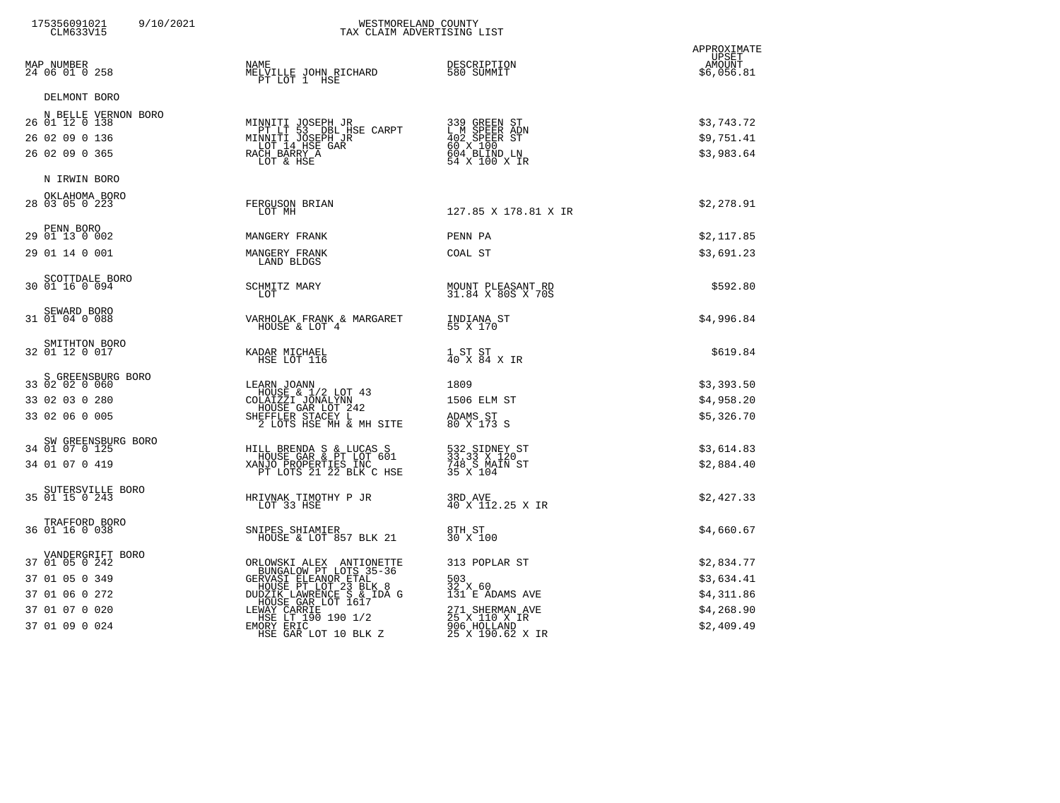| 175356091021<br>9/10/2021<br>CLM633V15                                                                     | WESTMORELAND COUNTY<br>TAX CLAIM ADVERTISING LIST                                                                                                                                                                                                                            |                                                                                                                           |                                                                    |
|------------------------------------------------------------------------------------------------------------|------------------------------------------------------------------------------------------------------------------------------------------------------------------------------------------------------------------------------------------------------------------------------|---------------------------------------------------------------------------------------------------------------------------|--------------------------------------------------------------------|
| MAP NUMBER<br>24 06 01 0 258                                                                               | <b>NAME</b><br>MELVILLE JOHN RICHARD<br>PT LOT 1 HSE                                                                                                                                                                                                                         | DESCRIPTION<br>580 SUMMIT                                                                                                 | APPROXIMATE<br>UPSET<br>AMOUNT<br>\$6,056.81                       |
| DELMONT BORO<br>N BELLE VERNON BORO<br>26 01 12 0 138<br>26 02 09 0 136<br>26 02 09 0 365                  | MINNITI JOSEPH JR<br>PT LT 53 DBL HSE CARPT<br>MINNITI JOSEPH JR<br>DAGT 14 HSE GAR<br>RACH BARRY A<br>LOT & HSE                                                                                                                                                             | 339 GREEN ST<br>L M SPEER ADN<br>402 SPEER ST<br>60 X 100<br>604 BLIND LN<br>54 X 100 X IR                                | \$3,743.72<br>\$9,751.41<br>\$3,983.64                             |
| N IRWIN BORO<br>OKLAHOMA BORO<br>28 03 05 0 223                                                            | FERGUSON BRIAN<br>LOT MH                                                                                                                                                                                                                                                     | 127.85 X 178.81 X IR                                                                                                      | \$2,278.91                                                         |
| PENN BORO<br>29 01 13 0 002<br>29 01 14 0 001                                                              | MANGERY FRANK<br>MANGERY FRANK<br>LAND BLDGS                                                                                                                                                                                                                                 | PENN PA<br>COAL ST                                                                                                        | \$2,117.85<br>\$3,691.23                                           |
| SCOTTDALE BORO<br>30 01 16 0 094                                                                           | SCHMITZ MARY<br>LOT                                                                                                                                                                                                                                                          | MOUNT PLEASANT RD<br>31.84 X 80S X 70S                                                                                    | \$592.80                                                           |
| SEWARD BORO<br>31 01 04 0 088                                                                              | VARHOLAK FRANK & MARGARET<br>HOUSE & LOT 4                                                                                                                                                                                                                                   | INDIANA ST<br>55 X 170                                                                                                    | \$4,996.84                                                         |
| SMITHTON BORO<br>32 01 12 0 017                                                                            | KADAR MICHAEL<br>HSE LOT 116                                                                                                                                                                                                                                                 | 1 ST ST<br>40 X 84 X IR                                                                                                   | \$619.84                                                           |
| S GREENSBURG BORO<br>33 02 02 0 060<br>33 02 03 0 280<br>33 02 06 0 005                                    | LEARN JOANN<br>HOUSE & 1/2 LOT 43<br>COLAIZZI JONALYNN<br>HOUSE GAR LOT 242<br>SHEFFLER STACEY L<br>2 LOTS HSE MH & MH SITE                                                                                                                                                  | 1809<br>1506 ELM ST<br>ADAMS ST<br>80 X 173 S                                                                             | \$3,393.50<br>\$4,958.20<br>\$5,326.70                             |
| SW GREENSBURG BORO<br>34 01 07 0 125<br>34 01 07 0 419                                                     | HILL BRENDA S & LUCAS S<br>HOUSE GAR & PT LOT 601<br>XANJO PROPERTIES INC<br>PT LOTS 21 22 BLK C HSE                                                                                                                                                                         | 532 SIDNEY ST<br>33.33 X 120<br>748 S MAIN ST<br>35 X 104                                                                 | \$3,614.83<br>\$2,884.40                                           |
| SUTERSVILLE BORO<br>35 01 15 0 243                                                                         | HRIVNAK TIMOTHY P JR<br>LOT 33 HSE                                                                                                                                                                                                                                           | 3RD AVE<br>40 X 112.25 X IR                                                                                               | \$2,427.33                                                         |
| TRAFFORD BORO<br>36 01 16 0 038                                                                            | SNIPES SHIAMIER<br>HOUSE & LOT 857 BLK 21                                                                                                                                                                                                                                    | 8TH ST<br>30 X 100                                                                                                        | \$4,660.67                                                         |
| VANDERGRIFT BORO<br>37 01 05 0 242<br>37 01 05 0 349<br>37 01 06 0 272<br>37 01 07 0 020<br>37 01 09 0 024 | ORLOWSKI ALEX ANTIONETTE<br>BUNGALOW PT LOTS 35-36<br>BUNGALOW PT LOTS 35-36<br>HOUSE PT LOT 23 BLK 8<br>HOUSE PT LOT 23 BLK 8<br>DUDZIK LAWRENCE 5 & TDA G<br>HOUSE GAR LOT 1617<br>LEWAY CARRIE<br>HSE LT 190 190 1/2<br>MORY EARC<br>TOT 10 PIK 7<br>HSE GAR LOT 10 BLK Z | 313 POPLAR ST<br>503<br>32 X 60<br>131 E ADAMS AVE<br>271 SHERMAN AVE<br>25 X 110 X IR<br>906 HOLLAND<br>25 X 190.62 X IR | \$2,834.77<br>\$3,634.41<br>\$4,311.86<br>\$4,268.90<br>\$2,409.49 |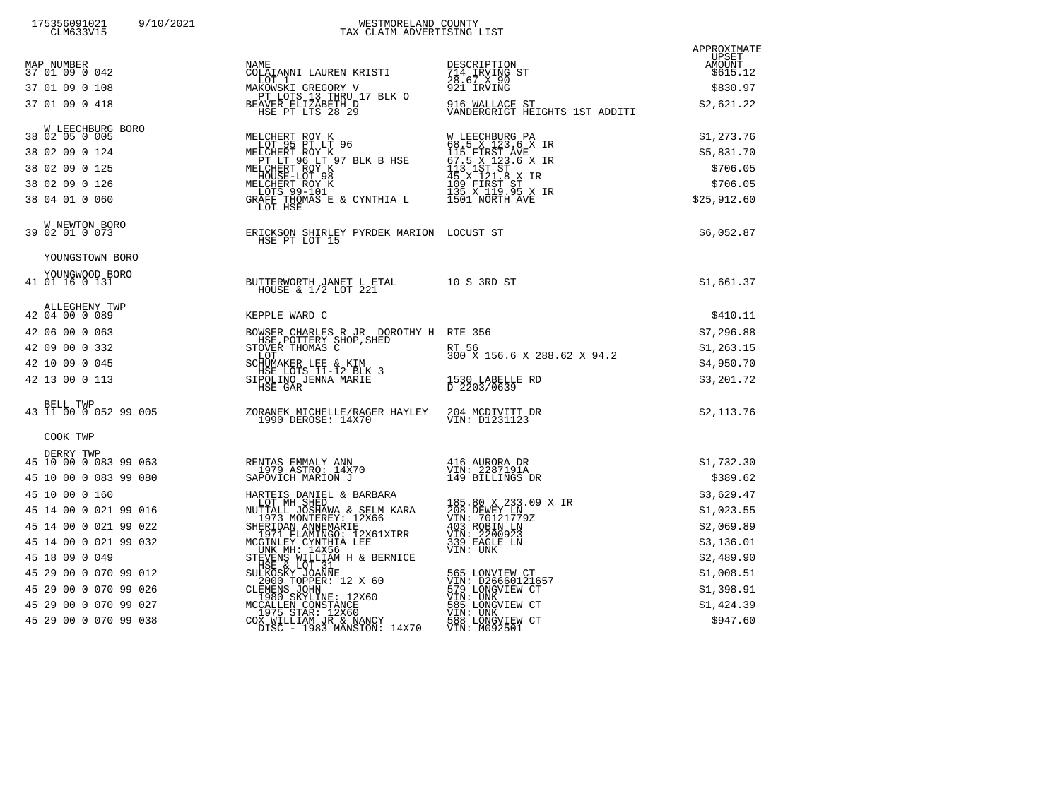| 175356091021<br>9/10/2021<br>CLM633V15 | WESTMORELAND COUNTY<br>TAX CLAIM ADVERTISING LIST                                                                                                                                                                                                  |                                                                                                                                              |                      |
|----------------------------------------|----------------------------------------------------------------------------------------------------------------------------------------------------------------------------------------------------------------------------------------------------|----------------------------------------------------------------------------------------------------------------------------------------------|----------------------|
|                                        |                                                                                                                                                                                                                                                    |                                                                                                                                              | APPROXIMATE<br>UPSET |
| MAP NUMBER<br>37 01 09 0 042           | NAME<br>COLAIANNI LAUREN KRISTI                                                                                                                                                                                                                    | DESCRIPTION                                                                                                                                  | AMOUNT<br>\$615.12   |
| 37 01 09 0 108                         | LOT 1                                                                                                                                                                                                                                              | 714 IRVING ST<br>28.67 X 90<br>921 IRVING                                                                                                    | \$830.97             |
| 37 01 09 0 418                         | LOT 1<br>MAKOWSKI GREGORY V<br>PT LOTS 13 THRU 17 BLK O<br>BEAVER ELIZABETH D<br>HSE PT LTS 28 29                                                                                                                                                  | 916 WALLACE ST<br>VANDERGRIGT HEIGHTS 1ST ADDITI                                                                                             | \$2,621.22           |
| W LEECHBURG BORO<br>38 02 05 0 005     | RO<br>MELCHERT ROY K<br>LOT 95 PT LT 96<br>MELCHERT ROY K<br>PT LT 96 LT 97 BLK B HSE<br>MELCHERT ROY K<br>HOUSE-LOT 98<br>MELCHERT ROY K<br>LOTS 99-101<br>GRAFF THOWAS E & CYNTHIA L<br>LOT HSE                                                  | W LEECHBURG PA<br>68.5 X 123.6 X IR<br>115 FIRST AVE<br>67.5 X 123.6 X IR<br>113 1ST ST<br>45 X 121.8 X IR<br>109 FIRST ST<br>1201 MOBTH 2NT | \$1,273.76           |
| 38 02 09 0 124                         |                                                                                                                                                                                                                                                    |                                                                                                                                              | \$5,831.70           |
| 38 02 09 0 125                         |                                                                                                                                                                                                                                                    |                                                                                                                                              | \$706.05             |
| 38 02 09 0 126                         |                                                                                                                                                                                                                                                    |                                                                                                                                              | \$706.05             |
| 38 04 01 0 060                         |                                                                                                                                                                                                                                                    | 1501 NORTH AVE                                                                                                                               | \$25,912.60          |
| W NEWTON BORO<br>39 02 01 0 073        | ERICKSON SHIRLEY PYRDEK MARION LOCUST ST<br>HSE PT LOT 15                                                                                                                                                                                          |                                                                                                                                              | \$6,052.87           |
| YOUNGSTOWN BORO                        |                                                                                                                                                                                                                                                    |                                                                                                                                              |                      |
| YOUNGWOOD BORO<br>41 01 16 0 131       | BUTTERWORTH JANET L ETAL 10 S 3RD ST<br>HOUSE & 1/2 LOT 221                                                                                                                                                                                        |                                                                                                                                              | \$1,661.37           |
| ALLEGHENY TWP<br>42 04 00 0 089        | KEPPLE WARD C                                                                                                                                                                                                                                      |                                                                                                                                              | \$410.11             |
| 42 06 00 0 063                         |                                                                                                                                                                                                                                                    |                                                                                                                                              | \$7,296.88           |
| 42 09 00 0 332                         | BOWSER CHARLES R JR DOROTHY H RTE 356<br>HSE, POTTERY SHOP, SHED<br>STOVER THOMAS C RT RT 56<br>LOT                                                                                                                                                | 300 X 156.6 X 288.62 X 94.2                                                                                                                  | \$1,263.15           |
| 42 10 09 0 045                         | SCHUMAKER LEE & KIM<br>HSE LOTS 11-12 BLK 3<br>SIPOLINO JENNA MARIE                                                                                                                                                                                |                                                                                                                                              | \$4,950.70           |
| 42 13 00 0 113                         | HSE GAR                                                                                                                                                                                                                                            | 1530 LABELLE RD<br>D 2203/0639                                                                                                               | \$3,201.72           |
|                                        | BELL TWP<br>43 11 00 0 052 99 005<br>20RANEK MICHELLE/RAGER HAYLEY<br>1990 DEROSE: 14X70                                                                                                                                                           | 204 MCDIVITT DR<br>VIN: D1231123                                                                                                             | \$2,113.76           |
| COOK TWP                               |                                                                                                                                                                                                                                                    |                                                                                                                                              |                      |
| DERRY TWP<br>45 10 00 0 083 99 063     |                                                                                                                                                                                                                                                    | 416 AURORA DR<br>VIŅ: 2287191A                                                                                                               | \$1,732.30           |
| 45 10 00 0 083 99 080                  | RENTAS EMMALY ANN<br>1979 ASTRO: 14X70<br>SAPOVICH MARION J                                                                                                                                                                                        | 149 BILLINGS DR                                                                                                                              | \$389.62             |
| 45 10 00 0 160                         |                                                                                                                                                                                                                                                    |                                                                                                                                              | \$3,629.47           |
| 45 14 00 0 021 99 016                  | HARTEIS DANIEL & BARBARA<br>LOT MH SHED<br>NUTTALL JOSHAWA & SELM KARA<br>1973 NONTEREY: 12X66<br>2006273 NONTEREY: 12X66                                                                                                                          | 185.80 X 233.09 X IR<br>208 DEWEY LN<br>VIN: 70121779Z                                                                                       | \$1,023.55           |
| 45 14 00 0 021 99 022                  |                                                                                                                                                                                                                                                    | 403 ROBIN LN<br>VIN: 2200923                                                                                                                 | \$2,069.89           |
| 45 14 00 0 021 99 032                  | THE TOWN ANNEMARIE<br>1971 FLAMINGO: 12X61XIRR<br>MCGINLEY CYNTHIA LEE<br>MCGINLEY CYNTHIA LEE<br>UNK MH: 14X56<br>STEVENS WILLIAM H & BERNICE                                                                                                     | 339 EAGLE LN<br>VIN: UNK                                                                                                                     | \$3,136.01           |
| 45 18 09 0 049                         |                                                                                                                                                                                                                                                    |                                                                                                                                              | \$2,489.90           |
| 45 29 00 0 070 99 012                  |                                                                                                                                                                                                                                                    | 565 LONVIEW CT<br>VIN: D26660121657                                                                                                          | \$1,008.51           |
| 45 29 00 0 070 99 026                  |                                                                                                                                                                                                                                                    | 579 LONGVIEW CT<br>VIN: UNK<br>585 LONGVIEW CT                                                                                               | \$1,398.91           |
| 45 29 00 0 070 99 027                  |                                                                                                                                                                                                                                                    | VIN: UNK                                                                                                                                     | \$1,424.39           |
| 45 29 00 0 070 99 038                  | STEVENS WILLIAM H & BERNICE<br>HSE & LOT 31<br>SULKOSKY JOANNE<br>2000 TOPPER: 12 X 60<br>CLEMENS JOHN<br>1980 SKYLINE: 12X60<br>1980 SKYLINE: 12X60<br>MCCALLEN CONSTANCE<br>COX WILLIAM JR & NANCY<br>COX WILLIAM JR & NANCY<br>DISC - 1983 MANS | 588 LONGVIEW CT<br>VIN: M092501                                                                                                              | \$947.60             |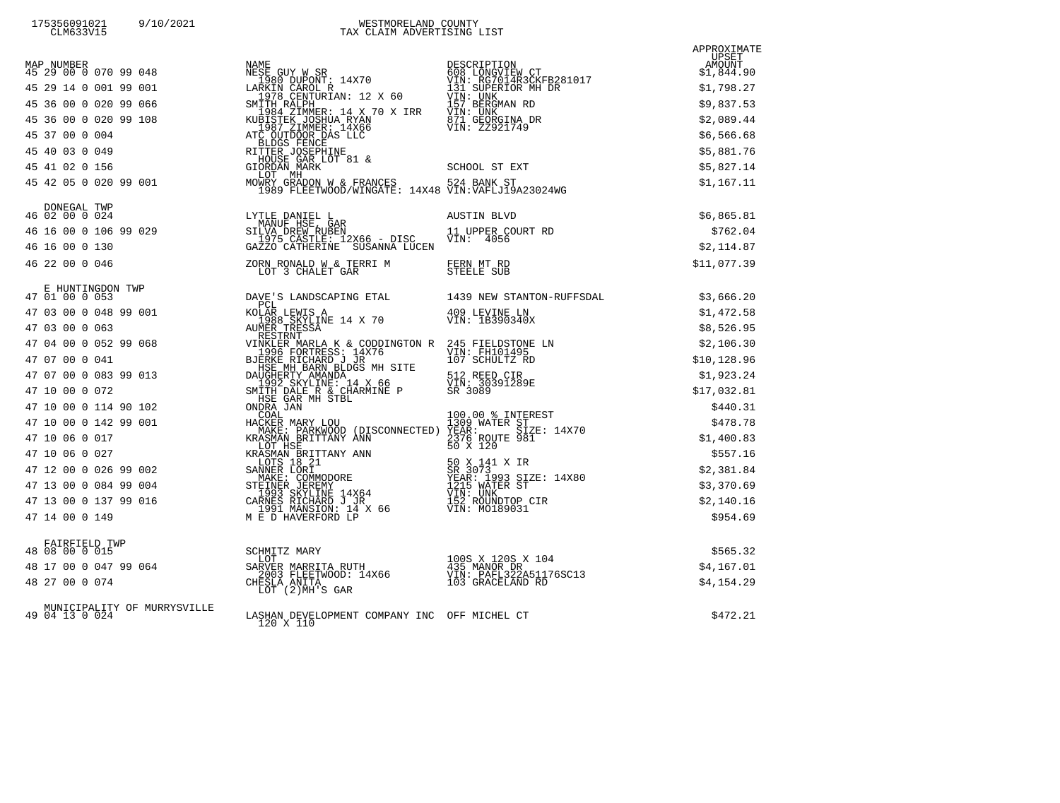|                                               | $\begin{tabular}{l c c c c c} \hline \textbf{MDBER} & \textbf{NDRPER} & \textbf{ADERCTION} & \textbf{ADERCTION} & \textbf{ADRE CONEMENTE} & \textbf{ADRE CONENTE} & \textbf{ADRE CONENTE} & \textbf{ADRE CONENTE} & \textbf{ADRE CONENTE} & \textbf{ADRE CONENTE} & \textbf{ADRE CONENTE} & \textbf{ADRE CONENTE} & \textbf{ADRE CONENTE} & \textbf{ADRE CONENTE} & \textbf{ADRE CONENTE} & \textbf{ADRE CONENTE} & \textbf{ADRE CONENTE} & \textbf{ADRE CONENTE} & \textbf{ADRE CONENTE}$ | APPROXIMATE |
|-----------------------------------------------|--------------------------------------------------------------------------------------------------------------------------------------------------------------------------------------------------------------------------------------------------------------------------------------------------------------------------------------------------------------------------------------------------------------------------------------------------------------------------------------------|-------------|
|                                               |                                                                                                                                                                                                                                                                                                                                                                                                                                                                                            |             |
|                                               |                                                                                                                                                                                                                                                                                                                                                                                                                                                                                            |             |
|                                               |                                                                                                                                                                                                                                                                                                                                                                                                                                                                                            |             |
|                                               |                                                                                                                                                                                                                                                                                                                                                                                                                                                                                            |             |
|                                               |                                                                                                                                                                                                                                                                                                                                                                                                                                                                                            |             |
|                                               |                                                                                                                                                                                                                                                                                                                                                                                                                                                                                            |             |
|                                               |                                                                                                                                                                                                                                                                                                                                                                                                                                                                                            |             |
|                                               | NONEGAL TWP<br>16 02 00 0 024<br>11 UPPER COURT RD SILVA DREW RUBEN<br>1975 CASTLE: 12X66 - DISC 11 UPPER COURT RD 1980 029<br>1975 CASTLE: 12X66 - DISC VIN: 4056<br>1975 CASTLE: 12X66 - DISC VIN: 4056<br>1975 CASTLE: 12X66 - DISC                                                                                                                                                                                                                                                     | \$6,865.81  |
|                                               |                                                                                                                                                                                                                                                                                                                                                                                                                                                                                            | \$762.04    |
|                                               |                                                                                                                                                                                                                                                                                                                                                                                                                                                                                            | \$2,114.87  |
| 46 22 00 0 046                                |                                                                                                                                                                                                                                                                                                                                                                                                                                                                                            | \$11,077.39 |
|                                               |                                                                                                                                                                                                                                                                                                                                                                                                                                                                                            |             |
|                                               |                                                                                                                                                                                                                                                                                                                                                                                                                                                                                            |             |
|                                               |                                                                                                                                                                                                                                                                                                                                                                                                                                                                                            |             |
|                                               |                                                                                                                                                                                                                                                                                                                                                                                                                                                                                            |             |
|                                               |                                                                                                                                                                                                                                                                                                                                                                                                                                                                                            |             |
|                                               |                                                                                                                                                                                                                                                                                                                                                                                                                                                                                            |             |
|                                               |                                                                                                                                                                                                                                                                                                                                                                                                                                                                                            |             |
|                                               |                                                                                                                                                                                                                                                                                                                                                                                                                                                                                            |             |
|                                               |                                                                                                                                                                                                                                                                                                                                                                                                                                                                                            |             |
|                                               |                                                                                                                                                                                                                                                                                                                                                                                                                                                                                            |             |
|                                               |                                                                                                                                                                                                                                                                                                                                                                                                                                                                                            |             |
|                                               |                                                                                                                                                                                                                                                                                                                                                                                                                                                                                            |             |
|                                               |                                                                                                                                                                                                                                                                                                                                                                                                                                                                                            |             |
|                                               |                                                                                                                                                                                                                                                                                                                                                                                                                                                                                            |             |
|                                               |                                                                                                                                                                                                                                                                                                                                                                                                                                                                                            |             |
|                                               |                                                                                                                                                                                                                                                                                                                                                                                                                                                                                            | \$565.32    |
|                                               |                                                                                                                                                                                                                                                                                                                                                                                                                                                                                            | \$4,167.01  |
|                                               | FAIRFIELD TWP<br>48 08 00 0 015<br>48 17 00 0 047 99 064<br>48 27 00 0 074<br>100 0 074<br>2003 FLEETWOOD: 14X66<br>CHESLA ANITA<br>LOT (2)MH'S GAR<br>2003 FLEETWOOD: 14X66<br>2003 FLEETWOOD: 14X66<br>2003 FLEETWOOD: 14X66<br>2013 GR                                                                                                                                                                                                                                                  | \$4,154.29  |
| MUNICIPALITY OF MURRYSVILLE<br>49 04 13 0 024 | LASHAN DEVELOPMENT COMPANY INC OFF MICHEL CT<br>120 X 110                                                                                                                                                                                                                                                                                                                                                                                                                                  | \$472.21    |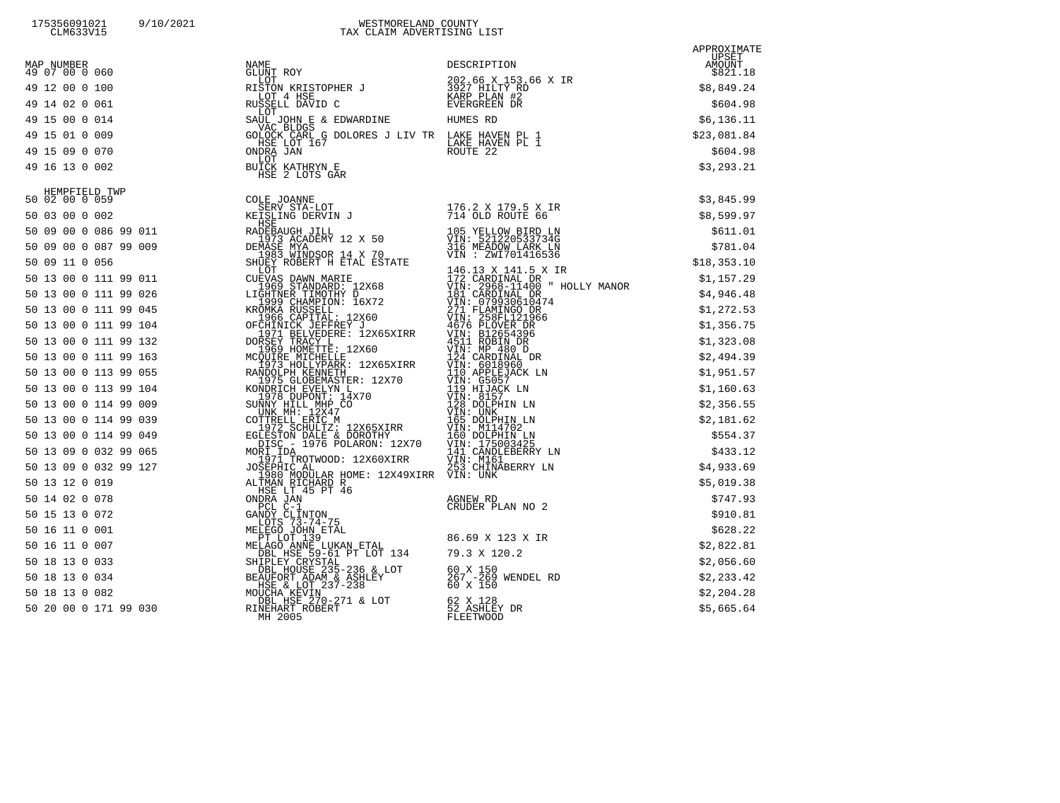| MAP NUMBER<br>49 07 00 0 060 |                                                                                                                                                                                                                                                    | $$821$<br>$$8,849.24$<br>$$604.98$<br>$$6,136.1$<br>$$23,081$<br>$$24$ |
|------------------------------|----------------------------------------------------------------------------------------------------------------------------------------------------------------------------------------------------------------------------------------------------|------------------------------------------------------------------------|
| 49 12 00 0 100               |                                                                                                                                                                                                                                                    |                                                                        |
| 49 14 02 0 061               |                                                                                                                                                                                                                                                    |                                                                        |
| 49 15 00 0 014               |                                                                                                                                                                                                                                                    |                                                                        |
| 49 15 01 0 009               |                                                                                                                                                                                                                                                    |                                                                        |
| 49 15 09 0 070               |                                                                                                                                                                                                                                                    | \$604.98                                                               |
| 49 16 13 0 002               | NAME<br>GLUNT ROY DESCRIPTION<br>RISTON KRISTOPHER J<br>ROY 4 HSE USE IN 19927 HILITY RD<br>RUSSELL DAVID C KARP PLAN #2<br>RUSSELL DAVID C EVERGREEN DR<br>SAUL JOHN E & EDWARDINE HUMES RD<br>VAC BLDGS<br>GOLOCK CARL G DOLORES J LIV TR LA     | \$3,293.21                                                             |
|                              | 49 16 13 0.02<br>16 13 10 202 19<br>16 20 10 202 19<br>16 20 10 202 19<br>16 20 10 202 19<br>16 20 10 202 19<br>16 20 10 202 19<br>16 20 10 202 19<br>16 20 10 202 19<br>16 202 10 202 11 19 204<br>16 202 10 202 11 19 204<br>16 202 10 202 11 19 |                                                                        |
|                              |                                                                                                                                                                                                                                                    |                                                                        |
|                              |                                                                                                                                                                                                                                                    |                                                                        |
|                              |                                                                                                                                                                                                                                                    |                                                                        |
|                              |                                                                                                                                                                                                                                                    |                                                                        |
|                              |                                                                                                                                                                                                                                                    |                                                                        |
|                              |                                                                                                                                                                                                                                                    |                                                                        |
|                              |                                                                                                                                                                                                                                                    |                                                                        |
|                              |                                                                                                                                                                                                                                                    |                                                                        |
|                              |                                                                                                                                                                                                                                                    |                                                                        |
|                              |                                                                                                                                                                                                                                                    |                                                                        |
|                              |                                                                                                                                                                                                                                                    |                                                                        |
|                              |                                                                                                                                                                                                                                                    |                                                                        |
|                              |                                                                                                                                                                                                                                                    |                                                                        |
|                              |                                                                                                                                                                                                                                                    |                                                                        |
|                              |                                                                                                                                                                                                                                                    |                                                                        |
|                              |                                                                                                                                                                                                                                                    |                                                                        |
|                              |                                                                                                                                                                                                                                                    |                                                                        |
|                              |                                                                                                                                                                                                                                                    |                                                                        |
|                              |                                                                                                                                                                                                                                                    |                                                                        |
|                              |                                                                                                                                                                                                                                                    |                                                                        |
|                              |                                                                                                                                                                                                                                                    |                                                                        |
|                              |                                                                                                                                                                                                                                                    |                                                                        |
|                              |                                                                                                                                                                                                                                                    |                                                                        |
|                              |                                                                                                                                                                                                                                                    |                                                                        |
|                              |                                                                                                                                                                                                                                                    |                                                                        |
|                              |                                                                                                                                                                                                                                                    |                                                                        |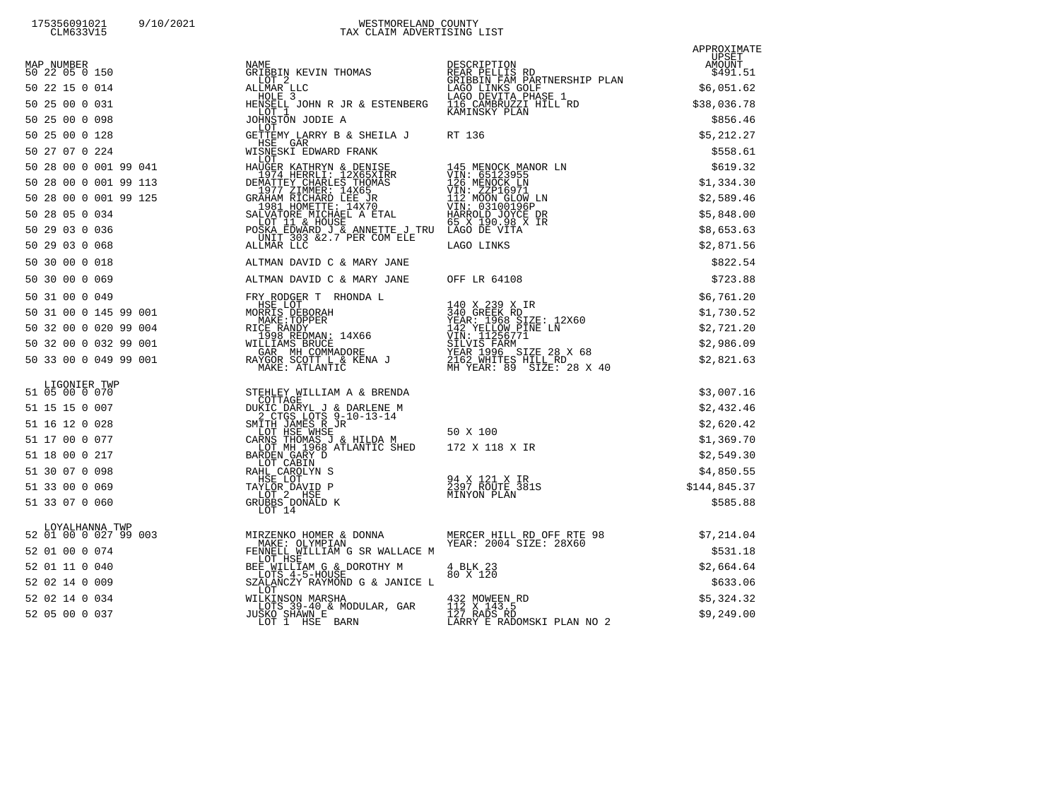175356091021 9/10/2021 WESTMORELAND COUNTY<br>CLM633V15 CLM633V15 TAX CLAIM ADVERTISING

APPROXIMATE

| MAP NUMBER<br>50 22 05 0 150 |                                                                                                                                                                                                                                                                                                                                                                                                           | NAME UPSET<br>GRIBBIN KEVIN THOMAS REAR PELLIS RD<br>LOT 2 GRIBBIN SAVIT BELLIS RD<br>LOT 2 GRIBBIN FAME PELLIS RD<br>LAGO LINKS GOLF<br>HOLE 3 LAGO DEVITA PHASE 1<br>HOLE 3 LAGO DEVITA PHASE 1<br>LOT 1 \$38,036.78<br>LOT 1 \$38,036.78<br>JOH |            |
|------------------------------|-----------------------------------------------------------------------------------------------------------------------------------------------------------------------------------------------------------------------------------------------------------------------------------------------------------------------------------------------------------------------------------------------------------|----------------------------------------------------------------------------------------------------------------------------------------------------------------------------------------------------------------------------------------------------|------------|
| 50 22 15 0 014               |                                                                                                                                                                                                                                                                                                                                                                                                           |                                                                                                                                                                                                                                                    |            |
| 50 25 00 0 031               |                                                                                                                                                                                                                                                                                                                                                                                                           |                                                                                                                                                                                                                                                    |            |
| 50 25 00 0 098               |                                                                                                                                                                                                                                                                                                                                                                                                           |                                                                                                                                                                                                                                                    |            |
| 50 25 00 0 128               | LOT<br>HSE GAR                                                                                                                                                                                                                                                                                                                                                                                            |                                                                                                                                                                                                                                                    | \$5,212.27 |
|                              |                                                                                                                                                                                                                                                                                                                                                                                                           |                                                                                                                                                                                                                                                    | \$558.61   |
|                              |                                                                                                                                                                                                                                                                                                                                                                                                           |                                                                                                                                                                                                                                                    | \$619.32   |
|                              |                                                                                                                                                                                                                                                                                                                                                                                                           |                                                                                                                                                                                                                                                    | \$1,334.30 |
|                              |                                                                                                                                                                                                                                                                                                                                                                                                           |                                                                                                                                                                                                                                                    | \$2,589.46 |
|                              |                                                                                                                                                                                                                                                                                                                                                                                                           |                                                                                                                                                                                                                                                    | \$5,848.00 |
|                              |                                                                                                                                                                                                                                                                                                                                                                                                           |                                                                                                                                                                                                                                                    | \$8,653.63 |
|                              |                                                                                                                                                                                                                                                                                                                                                                                                           |                                                                                                                                                                                                                                                    | \$2,871.56 |
| 50 30 00 0 018               | ALTMAN DAVID C & MARY JANE                                                                                                                                                                                                                                                                                                                                                                                |                                                                                                                                                                                                                                                    | \$822.54   |
| 50 30 00 0 069               | ALTMAN DAVID C & MARY JANE OFF LR 64108                                                                                                                                                                                                                                                                                                                                                                   |                                                                                                                                                                                                                                                    | \$723.88   |
| 50 31 00 0 049               | FRY RODGER T RHONDA L                                                                                                                                                                                                                                                                                                                                                                                     |                                                                                                                                                                                                                                                    | \$6,761.20 |
| 50 31 00 0 145 99 001        |                                                                                                                                                                                                                                                                                                                                                                                                           |                                                                                                                                                                                                                                                    | \$1,730.52 |
| 50 32 00 0 020 99 004        |                                                                                                                                                                                                                                                                                                                                                                                                           |                                                                                                                                                                                                                                                    | \$2,721.20 |
| 50 32 00 0 032 99 001        |                                                                                                                                                                                                                                                                                                                                                                                                           |                                                                                                                                                                                                                                                    | \$2,986.09 |
| 50 33 00 0 049 99 001        | $\begin{tabular}{lllllllllllllllllll} \textsc{hSE LOT} & & & & & 140 \text{ X 239 X IR} \\ \textsc{MORRKE: TOPBER} & & & 340 \text{ GREE K RD} \\ \textsc{RICE RANDY} & & & YEAR: 1968 \text{ SIZE: } 12 \text{X}60 \\ \textsc{RICE RANDY} & & 14 \text{X}66 & & 142 \text{ YELLOW PINE LN} \\ & & 1998 \text{ REDMN: } 14 \text{X66} & & 142 \text{ YELLOW PINE LN} \\ & & 1998 \text{ REDMM} & & 142 \$ |                                                                                                                                                                                                                                                    | \$2,821.63 |

## LIGONIE<br>51 05 00 0

|  |  | 51 15 15 0 007 |  |
|--|--|----------------|--|
|  |  | 51 16 12 0 028 |  |
|  |  | 51 17 00 0 077 |  |
|  |  | 51 18 00 0 217 |  |
|  |  | 51 30 07 0 098 |  |
|  |  | 51 33 00 0 069 |  |
|  |  | 51 33 07 0 060 |  |
|  |  |                |  |

| 200000012222                            |                                                                                                 | III MOON CHON HI                                                                                                                                                                                                                             | 74,309,10    |
|-----------------------------------------|-------------------------------------------------------------------------------------------------|----------------------------------------------------------------------------------------------------------------------------------------------------------------------------------------------------------------------------------------------|--------------|
| 50 28 05 0 034                          | 1901 HORNE MICHAEL A ETAL MARROLD JOYCE DR<br>LOT 11 & HOUSE -------- - ---- 65 X 190.98 X IR   |                                                                                                                                                                                                                                              | \$5,848.00   |
| 50 29 03 0 036                          | POSKA EDWARD J & ANNETTE J TRU LAGÖ DE VÍTA<br>-_UNIT 303 &2.7 PER COM ELE TIOO I INKO          |                                                                                                                                                                                                                                              | \$8,653.63   |
| 50 29 03 0 068                          | ALLMAR LLC                                                                                      | LAGO LINKS                                                                                                                                                                                                                                   | \$2,871.56   |
| 50 30 00 0 018                          | ALTMAN DAVID C & MARY JANE                                                                      |                                                                                                                                                                                                                                              | \$822.54     |
| 50 30 00 0 069                          | ALTMAN DAVID C & MARY JANE                                                                      | OFF LR 64108                                                                                                                                                                                                                                 | \$723.88     |
| 50 31 00 0 049                          | FRY RODGER T RHONDA L                                                                           |                                                                                                                                                                                                                                              | \$6,761.20   |
| 50 31 00 0 145 99 001                   | HSE LOT                                                                                         | 140 X 239 X IR                                                                                                                                                                                                                               | \$1,730.52   |
| 50 32 00 0 020 99 004                   |                                                                                                 |                                                                                                                                                                                                                                              | \$2,721.20   |
| 50 32 00 0 032 99 001                   |                                                                                                 |                                                                                                                                                                                                                                              | \$2,986.09   |
| 50 33 00 0 049 99 001                   |                                                                                                 | HSE LOT MORRIS DEBORAH 14<br>MORRIS DEBORAH 14<br>MAKE:TOPPER VEAR: 1968 SIZE: 12X60<br>RICE RANDY<br>1998 REDMAN: 14X66 142 YELVIS FARM<br>WILLIAMS BRUCE 14X66 VIN: 11256771<br>WILLIAMS BRUCE SILVIS FARM<br>NAKE: ATLANTIC MH YEAR: 89 S | \$2,821.63   |
| LIGONIER TWP<br>51 05 00 0 070          | STEHLEY WILLIAM A & BRENDA                                                                      |                                                                                                                                                                                                                                              | \$3,007.16   |
| 51 15 15 0 007                          | COTTAGE<br>DUKIC DARYL J & DARLENE M                                                            |                                                                                                                                                                                                                                              | \$2,432.46   |
| 51 16 12 0 028                          | 2 CTGS LOTS 9-10-13-14                                                                          |                                                                                                                                                                                                                                              | \$2,620.42   |
| 51 17 00 0 077                          | LOT HSE WHSE<br>CARNS THOMAS J & HILDA M<br>1968 ATLANTIC SHED 172 X 118 X IR                   | 50 X 100                                                                                                                                                                                                                                     | \$1,369.70   |
| 51 18 00 0 217                          | BARDEN GARY D                                                                                   |                                                                                                                                                                                                                                              | \$2,549.30   |
| RAHL CAROLYN S<br>51 30 07 0 098        | LOT CABIN                                                                                       |                                                                                                                                                                                                                                              | \$4,850.55   |
| 51 33 00 0 069                          |                                                                                                 |                                                                                                                                                                                                                                              | \$144,845.37 |
| 51 33 07 0 060                          | $\begin{array}{r}\n\text{GRUBBS}\xspace\\ \text{LOT}\xspace\quad 14\n\end{array}$               |                                                                                                                                                                                                                                              | \$585.88     |
| LOYALHANNA TWP<br>52 01 00 0 027 99 003 |                                                                                                 |                                                                                                                                                                                                                                              | \$7,214.04   |
| 52 01 00 0 074                          | FENNELL WILLIAM G SR WALLACE M                                                                  |                                                                                                                                                                                                                                              | \$531.18     |
| 52 01 11 0 040                          | LOT HSE                                                                                         |                                                                                                                                                                                                                                              | \$2,664.64   |
| 52 02 14 0 009                          | BEE WILLIAM G & DOROTHY M 4 BLK 23<br>LOTS 4-5-HOUSE 60 X 120<br>SZALANCZY RAYMOND G & JANICE L |                                                                                                                                                                                                                                              | \$633.06     |
| 52 02 14 0 034                          | LOT                                                                                             |                                                                                                                                                                                                                                              |              |
| 52 05 00 0 037                          | WILKINSON MARSHA<br>LOTS 39-40 & MODULAR, GAR                                                   | 432 MOWEEN RD<br>112 X 143.5                                                                                                                                                                                                                 | \$5,324.32   |
|                                         | JUSKO SHAWN E<br>LOT 1 HSE BARN                                                                 | $\overline{1}\overline{2}7$ RADS RD<br>LARRY E RADOMSKI PLAN NO 2                                                                                                                                                                            | \$9,249.00   |
|                                         |                                                                                                 |                                                                                                                                                                                                                                              |              |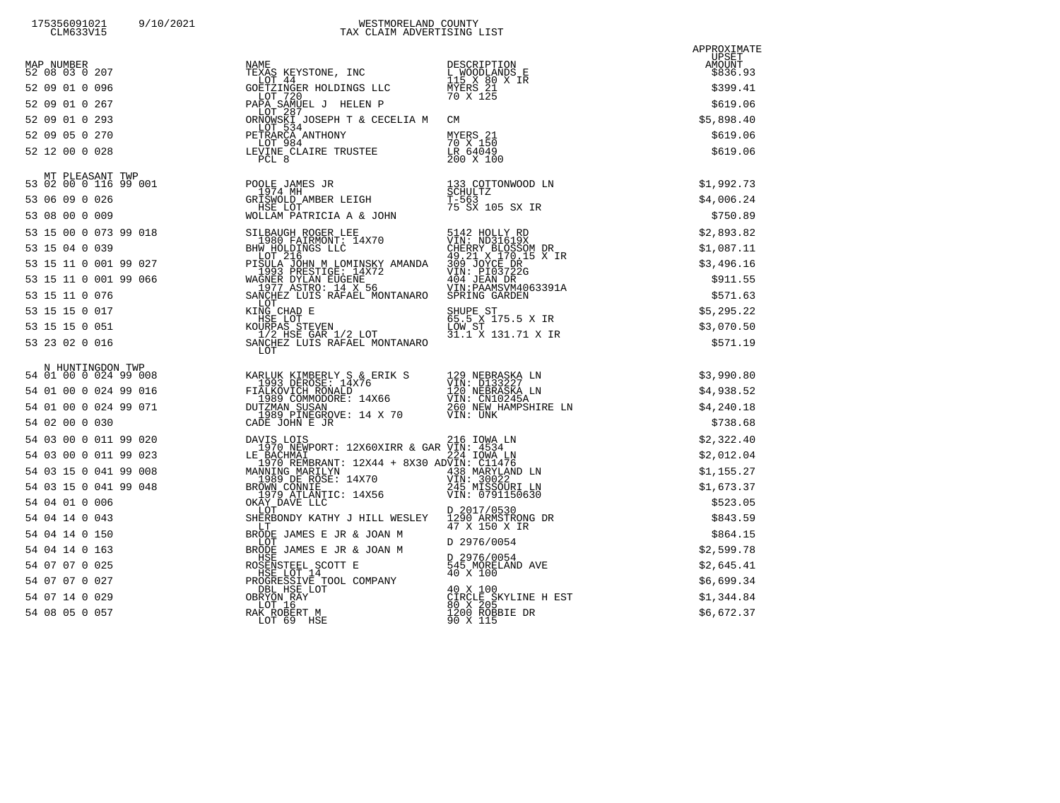| MAP NUMBER<br>52 08 03 0 207<br>52 09 01 0 096 | NAME<br>TEXAS KEYSTONE, INC<br>LOT 44<br>GOETZINGER HOLDINGS LLC                                                                                                                                                                             | DESCRIPTION<br>L WOODLANDS E<br>115 X 80 X IR<br>MYERS 21<br>70 X 125                                                                           | APPROXIMATE<br>UPSET<br>AMOUNT<br>\$836.93<br>\$399.41 |
|------------------------------------------------|----------------------------------------------------------------------------------------------------------------------------------------------------------------------------------------------------------------------------------------------|-------------------------------------------------------------------------------------------------------------------------------------------------|--------------------------------------------------------|
| 52 09 01 0 267                                 | LOT 720<br>PAPĂ SAMUEL J HELEN P                                                                                                                                                                                                             |                                                                                                                                                 | \$619.06                                               |
| 52 09 01 0 293                                 | LOT 287<br>ORNOWSKI JOSEPH T & CECELIA M CM                                                                                                                                                                                                  |                                                                                                                                                 | \$5,898.40                                             |
| 52 09 05 0 270                                 |                                                                                                                                                                                                                                              | MYERS 21                                                                                                                                        | \$619.06                                               |
| 52 12 00 0 028                                 | LEVINE CLAIRE TRUSTEE<br>LOT 984<br>FEINDING 4<br>PCL 8                                                                                                                                                                                      | 70 X 150<br>LR 64049<br>$200 \times 100$                                                                                                        | \$619.06                                               |
|                                                |                                                                                                                                                                                                                                              |                                                                                                                                                 | \$1,992.73                                             |
|                                                |                                                                                                                                                                                                                                              |                                                                                                                                                 | \$4,006.24                                             |
|                                                |                                                                                                                                                                                                                                              |                                                                                                                                                 | \$750.89                                               |
| 53 15 00 0 073 99 018                          |                                                                                                                                                                                                                                              |                                                                                                                                                 | \$2,893.82                                             |
| 53 15 04 0 039                                 |                                                                                                                                                                                                                                              |                                                                                                                                                 | \$1,087.11                                             |
| 53 15 11 0 001 99 027                          |                                                                                                                                                                                                                                              |                                                                                                                                                 | \$3,496.16                                             |
| 53 15 11 0 001 99 066                          |                                                                                                                                                                                                                                              |                                                                                                                                                 | \$911.55                                               |
| 53 15 11 0 076                                 |                                                                                                                                                                                                                                              |                                                                                                                                                 | \$571.63                                               |
| 53 15 15 0 017                                 |                                                                                                                                                                                                                                              |                                                                                                                                                 | \$5,295.22                                             |
| 53 15 15 0 051                                 |                                                                                                                                                                                                                                              |                                                                                                                                                 | \$3,070.50                                             |
| 53 23 02 0 016                                 | 99 018 SILBAUGH ROGER LEE 5142 HOLLY RD 1980 FAIRMONT: 14x70 VIN: ND31619X HW HOLDINGS LLC 49 21 x 170.15 X IR<br>99 027 LOT 216 49.21 x 170.15 X IR<br>1993 PRESTIGE: 14x72 309 JOYCE DR<br>1993 PRESTIGE: 14x72 309 JOYCE DR<br>199<br>LOT |                                                                                                                                                 | \$571.19                                               |
|                                                |                                                                                                                                                                                                                                              |                                                                                                                                                 | \$3,990.80                                             |
|                                                |                                                                                                                                                                                                                                              |                                                                                                                                                 | \$4,938.52                                             |
|                                                |                                                                                                                                                                                                                                              |                                                                                                                                                 | \$4,240.18                                             |
|                                                |                                                                                                                                                                                                                                              |                                                                                                                                                 | \$738.68                                               |
| 54 03 00 0 011 99 020                          |                                                                                                                                                                                                                                              | VIN: CN10245A<br>260 NEW HAMPSHIRE LN<br>VIN: UNK<br>216 IOWA LN<br>224 IOWA LN<br>224 IOWA LN<br>NVIN: C11476<br>438 MARYLAND LN<br>VIN: 30022 | \$2,322.40                                             |
| 54 03 00 0 011 99 023                          |                                                                                                                                                                                                                                              |                                                                                                                                                 | \$2,012.04                                             |
| 54 03 15 0 041 99 008                          |                                                                                                                                                                                                                                              |                                                                                                                                                 | \$1,155.27                                             |
| 54 03 15 0 041 99 048                          | MANNING MARILYN (1988) ---- - 1989 MÄRYLAND LN<br>1989 DE ROSE: 14X70 (1988) ---- 1989<br>BROWN CONNIE                                                                                                                                       | 245 MISSOURI LN                                                                                                                                 | \$1,673.37                                             |
| 54 04 01 0 006                                 |                                                                                                                                                                                                                                              | VIN: 0791150630                                                                                                                                 | \$523.05                                               |
| 54 04 14 0 043                                 |                                                                                                                                                                                                                                              | D 2017/0530<br>1290 ARMSTRONG DR<br>47 X 150 X IR                                                                                               | \$843.59                                               |
| 54 04 14 0 150                                 |                                                                                                                                                                                                                                              |                                                                                                                                                 | \$864.15                                               |
| 54 04 14 0 163                                 |                                                                                                                                                                                                                                              |                                                                                                                                                 | \$2,599.78                                             |
| 54 07 07 0 025                                 |                                                                                                                                                                                                                                              |                                                                                                                                                 | \$2,645.41                                             |
| 54 07 07 0 027                                 |                                                                                                                                                                                                                                              |                                                                                                                                                 | \$6,699.34                                             |
| 54 07 14 0 029                                 |                                                                                                                                                                                                                                              | CIRĈLE ŠKYLINE H EST<br>80 X 205<br>1200 ROBBIE DR                                                                                              | \$1,344.84                                             |
| 54 08 05 0 057                                 | 020 DAVIS LOTS<br>1970 NEWPORT: 12X60XIRR & GAR VIN: 4534<br>023 LE BACHMAILYN<br>1970 NEWPORT: 12X44 + 8X30 ADVIN: C11476<br>008 MANNING MARILLYN<br>1970 REMBRANT: 12X44 + 8X30 ADVIN: C11476<br>MANNING MARILLYN<br>BROWN CONNIESE: 14X7  |                                                                                                                                                 | \$6,672.37                                             |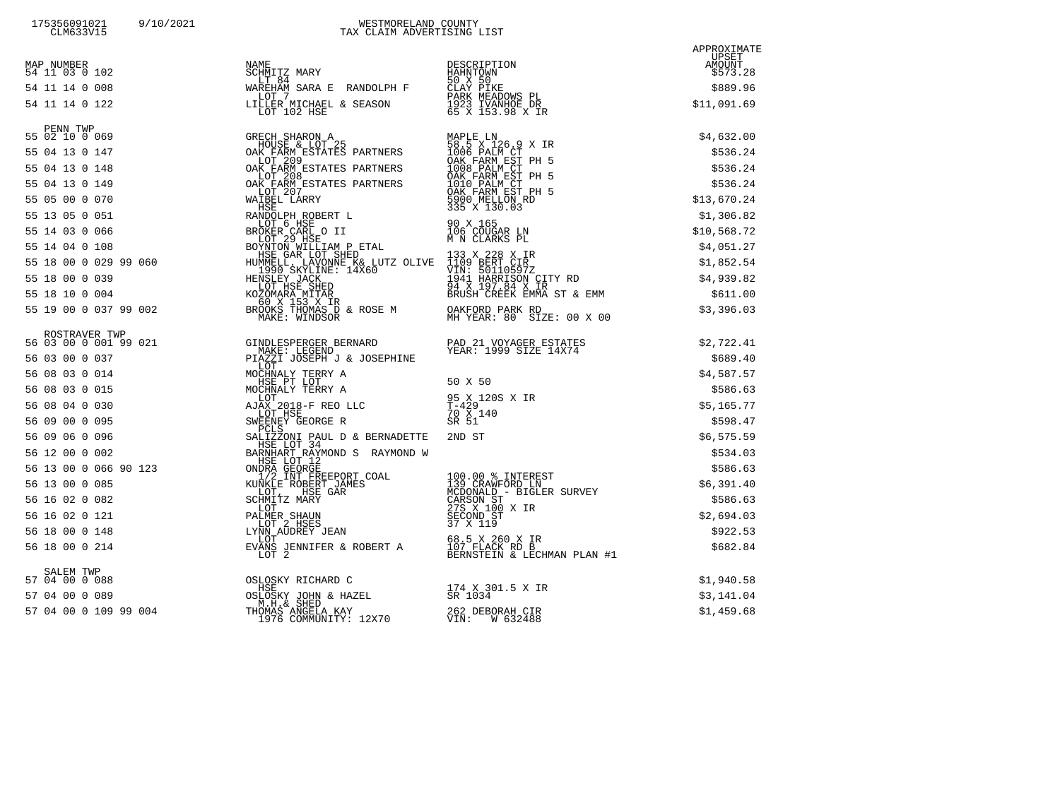| 175356091021 | 9/10/2021 | WESTMORELAND COUNTY        |
|--------------|-----------|----------------------------|
| CLM633V15    |           | TAX CLAIM ADVERTISING LIST |

|  |                                                                                                                                                                                                                                              | APPROXIMATE |
|--|----------------------------------------------------------------------------------------------------------------------------------------------------------------------------------------------------------------------------------------------|-------------|
|  |                                                                                                                                                                                                                                              |             |
|  |                                                                                                                                                                                                                                              |             |
|  |                                                                                                                                                                                                                                              |             |
|  |                                                                                                                                                                                                                                              |             |
|  |                                                                                                                                                                                                                                              |             |
|  |                                                                                                                                                                                                                                              |             |
|  |                                                                                                                                                                                                                                              |             |
|  |                                                                                                                                                                                                                                              |             |
|  |                                                                                                                                                                                                                                              |             |
|  |                                                                                                                                                                                                                                              |             |
|  |                                                                                                                                                                                                                                              |             |
|  |                                                                                                                                                                                                                                              |             |
|  |                                                                                                                                                                                                                                              |             |
|  |                                                                                                                                                                                                                                              |             |
|  |                                                                                                                                                                                                                                              |             |
|  |                                                                                                                                                                                                                                              |             |
|  |                                                                                                                                                                                                                                              |             |
|  |                                                                                                                                                                                                                                              |             |
|  |                                                                                                                                                                                                                                              |             |
|  |                                                                                                                                                                                                                                              |             |
|  |                                                                                                                                                                                                                                              |             |
|  |                                                                                                                                                                                                                                              |             |
|  |                                                                                                                                                                                                                                              |             |
|  |                                                                                                                                                                                                                                              |             |
|  |                                                                                                                                                                                                                                              |             |
|  |                                                                                                                                                                                                                                              |             |
|  |                                                                                                                                                                                                                                              |             |
|  |                                                                                                                                                                                                                                              |             |
|  |                                                                                                                                                                                                                                              |             |
|  |                                                                                                                                                                                                                                              |             |
|  | 55 19 00 0 037 99 002<br>56 83 10 0 0 037 99 002<br>56 83 10 0 0 037 99 002<br>56 83 10 0 0 037 99 0 02<br>56 83 10 0 0 037 99 0 021<br>56 0 3 0 0 0 0 14<br>56 0 3 0 0 0 0 15<br>10 0 0 0 0 0 0 0 5 123<br>10 0 0 0 0 0 0 0 0 0 0 0 0 0 0 0 |             |
|  |                                                                                                                                                                                                                                              |             |
|  |                                                                                                                                                                                                                                              |             |
|  |                                                                                                                                                                                                                                              |             |
|  |                                                                                                                                                                                                                                              |             |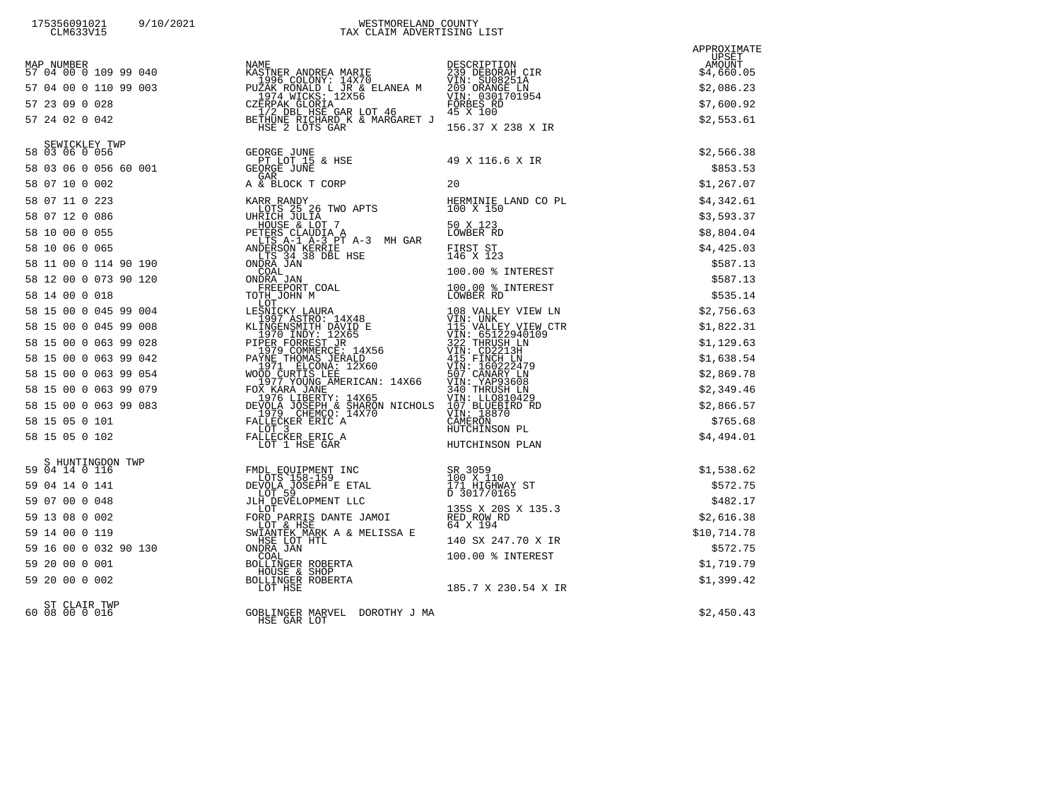| MAP NUMBER<br>57 04 00 0 109 99 040 | NAME DESCRIPTION<br>KASTNER ANDREA MARIE 239 DEBORAH CIR<br>1996 COLONY: 14X70 VIN: SUOBSIA<br>PUZAK RONALD L JR & ELANEA M 209 ORANGE LN<br>209 ORANGE LN<br>CZERPAK GLORIA SELANEA M 209 ORANGE LN<br>CZERPAK GLORIA (1998 PORBES RD<br>1/                                                                                                                                                                                    |                                            | APPROXIMATE<br>UPSET<br>AMOUNT<br>\$4,660.05 |
|-------------------------------------|---------------------------------------------------------------------------------------------------------------------------------------------------------------------------------------------------------------------------------------------------------------------------------------------------------------------------------------------------------------------------------------------------------------------------------|--------------------------------------------|----------------------------------------------|
| 57 04 00 0 110 99 003               |                                                                                                                                                                                                                                                                                                                                                                                                                                 |                                            | \$2,086.23                                   |
| 57 23 09 0 028                      |                                                                                                                                                                                                                                                                                                                                                                                                                                 |                                            | \$7,600.92                                   |
| 57 24 02 0 042                      |                                                                                                                                                                                                                                                                                                                                                                                                                                 |                                            | \$2,553.61                                   |
|                                     |                                                                                                                                                                                                                                                                                                                                                                                                                                 | 156.37 X 238 X IR                          |                                              |
| SEWICKLEY TWP<br>58 03 06 0 056     |                                                                                                                                                                                                                                                                                                                                                                                                                                 |                                            | \$2,566.38                                   |
|                                     |                                                                                                                                                                                                                                                                                                                                                                                                                                 | 49 X 116.6 X IR                            | \$853.53                                     |
|                                     |                                                                                                                                                                                                                                                                                                                                                                                                                                 | 20                                         | \$1,267.07                                   |
| 58 07 11 0 223                      |                                                                                                                                                                                                                                                                                                                                                                                                                                 | HERMINIE LAND CO PL                        | \$4,342.61                                   |
| 58 07 12 0 086                      |                                                                                                                                                                                                                                                                                                                                                                                                                                 | 100 X 150                                  | \$3,593.37                                   |
| 58 10 00 0 055                      |                                                                                                                                                                                                                                                                                                                                                                                                                                 | 50 X 123<br>LOWBER RD                      | \$8,804.04                                   |
| 58 10 06 0 065                      |                                                                                                                                                                                                                                                                                                                                                                                                                                 | FIRST ST<br>146 X 123                      | \$4,425.03                                   |
| 58 11 00 0 114 90 190               | KARR RANDY<br>LOTS 25 26 TWO APTS<br>UHRICH JULIA<br>HOUSE & LOT 7<br>PETERS CLAUDIA A<br>LITS A-1 A-3 MH GAR<br>ANDERSON KERRIE<br>ANDERSON KERRIE<br>LITS 34 38 DBL HSE<br>ONDRA JAN<br>COAL<br>COAL                                                                                                                                                                                                                          | 100.00 % INTEREST                          | \$587.13                                     |
| 58 12 00 0 073 90 120               | ONDRA JAN                                                                                                                                                                                                                                                                                                                                                                                                                       | 100.00 % INTEREST                          | \$587.13                                     |
| 58 14 00 0 018                      | THE FREEPORT COAL<br>TOTH JOHN M<br>LOT<br>TOTH JOHN M<br>LOT                                                                                                                                                                                                                                                                                                                                                                   | LOWBER RD                                  | \$535.14                                     |
| 58 15 00 0 045 99 004               |                                                                                                                                                                                                                                                                                                                                                                                                                                 |                                            | \$2,756.63                                   |
| 58 15 00 0 045 99 008               |                                                                                                                                                                                                                                                                                                                                                                                                                                 |                                            | \$1,822.31                                   |
| 58 15 00 0 063 99 028               |                                                                                                                                                                                                                                                                                                                                                                                                                                 |                                            | \$1,129.63                                   |
| 58 15 00 0 063 99 042               |                                                                                                                                                                                                                                                                                                                                                                                                                                 |                                            | \$1,638.54                                   |
| 58 15 00 0 063 99 054               |                                                                                                                                                                                                                                                                                                                                                                                                                                 |                                            | \$2,869.78                                   |
| 58 15 00 0 063 99 079               |                                                                                                                                                                                                                                                                                                                                                                                                                                 |                                            | \$2,349.46                                   |
| 58 15 00 0 063 99 083               |                                                                                                                                                                                                                                                                                                                                                                                                                                 |                                            | \$2,866.57                                   |
| 58 15 05 0 101                      |                                                                                                                                                                                                                                                                                                                                                                                                                                 |                                            | \$765.68                                     |
| 58 15 05 0 102                      | $\begin{tabular}{c c c c} \multicolumn{4}{c}{\textbf{100}}\textbf{1} & \multicolumn{4}{c}{\textbf{100}}\textbf{1} & \multicolumn{4}{c}{\textbf{100}}\textbf{1} & \multicolumn{4}{c}{\textbf{100}}\textbf{1} & \multicolumn{4}{c}{\textbf{100}}\textbf{1} & \multicolumn{4}{c}{\textbf{100}}\textbf{1} & \multicolumn{4}{c}{\textbf{100}}\textbf{1} & \multicolumn{4}{c}{\textbf{100}}\textbf{1} & \multicolumn{4}{c}{\textbf{1$ |                                            | \$4,494.01                                   |
| S HUNTINGDON TWP                    |                                                                                                                                                                                                                                                                                                                                                                                                                                 |                                            |                                              |
| 59 04 14 0 116                      |                                                                                                                                                                                                                                                                                                                                                                                                                                 | SR 3059                                    | \$1,538.62                                   |
| 59 04 14 0 141                      | FMDL EQUIPMENT INC<br>DEVOLA JOSEPH E ETA<br>DEVOLA JOSEPH E ETA<br>LOT 59                                                                                                                                                                                                                                                                                                                                                      | 100 X 110<br>171 HIGHWAY ST<br>D 3017/0165 | \$572.75                                     |
|                                     |                                                                                                                                                                                                                                                                                                                                                                                                                                 | 135S X 20S X 135.3                         | \$482.17                                     |
|                                     |                                                                                                                                                                                                                                                                                                                                                                                                                                 | RED RÖW RD<br>64 X 194                     | \$2,616.38                                   |
|                                     |                                                                                                                                                                                                                                                                                                                                                                                                                                 | 140 SX 247.70 X IR                         | \$10,714.78                                  |
|                                     |                                                                                                                                                                                                                                                                                                                                                                                                                                 | 100.00 % INTEREST                          | \$572.75                                     |
|                                     |                                                                                                                                                                                                                                                                                                                                                                                                                                 |                                            | \$1,719.79                                   |
|                                     |                                                                                                                                                                                                                                                                                                                                                                                                                                 | 185.7 X 230.54 X IR                        | \$1,399.42                                   |
| ST CLAIR TWP<br>60 08 00 0 016      | GOBLINGER MARVEL DOROTHY J MA<br>HSE GAR LOT                                                                                                                                                                                                                                                                                                                                                                                    |                                            | \$2,450.43                                   |